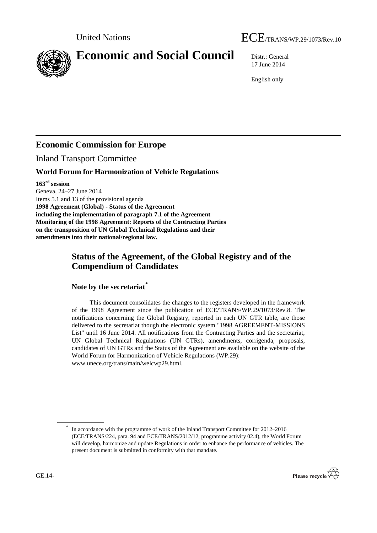

# **Economic and Social Council** Distr.: General

17 June 2014

English only

# **Economic Commission for Europe**

Inland Transport Committee

# **World Forum for Harmonization of Vehicle Regulations**

**163 rd session**

Geneva, 24–27 June 2014 Items 5.1 and 13 of the provisional agenda **1998 Agreement (Global) - Status of the Agreement including the implementation of paragraph 7.1 of the Agreement Monitoring of the 1998 Agreement: Reports of the Contracting Parties on the transposition of UN Global Technical Regulations and their amendments into their national/regional law.**

# **Status of the Agreement, of the Global Registry and of the Compendium of Candidates**

**Note by the secretariat\***

This document consolidates the changes to the registers developed in the framework of the 1998 Agreement since the publication of ECE/TRANS/WP.29/1073/Rev.8. The notifications concerning the Global Registry, reported in each UN GTR table, are those delivered to the secretariat though the electronic system "1998 AGREEMENT-MISSIONS List" until 16 June 2014. All notifications from the Contracting Parties and the secretariat, UN Global Technical Regulations (UN GTRs), amendments, corrigenda, proposals, candidates of UN GTRs and the Status of the Agreement are available on the website of the World Forum for Harmonization of Vehicle Regulations (WP.29): www.unece.org/trans/main/welcwp29.html.

<sup>\*</sup> In accordance with the programme of work of the Inland Transport Committee for 2012–2016 (ECE/TRANS/224, para. 94 and ECE/TRANS/2012/12, programme activity 02.4), the World Forum will develop, harmonize and update Regulations in order to enhance the performance of vehicles. The present document is submitted in conformity with that mandate.

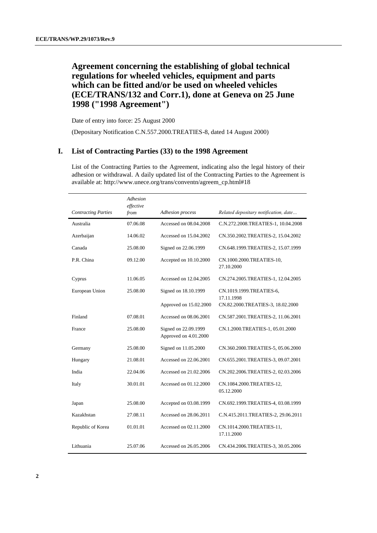# **Agreement concerning the establishing of global technical regulations for wheeled vehicles, equipment and parts which can be fitted and/or be used on wheeled vehicles (ECE/TRANS/132 and Corr.1), done at Geneva on 25 June 1998 ("1998 Agreement")**

Date of entry into force: 25 August 2000

(Depositary Notification C.N.557.2000.TREATIES-8, dated 14 August 2000)

#### **I. List of Contracting Parties (33) to the 1998 Agreement**

List of the Contracting Parties to the Agreement, indicating also the legal history of their adhesion or withdrawal. A daily updated list of the Contracting Parties to the Agreement is available at: [http://www.unece.org/trans/conventn/agreem\\_cp.html#18](http://www.unece.org/trans/conventn/agreem_cp.html#18)

|                            | Adhesion<br>effective |                                               |                                         |
|----------------------------|-----------------------|-----------------------------------------------|-----------------------------------------|
| <b>Contracting Parties</b> | from                  | Adhesion process                              | Related depositary notification, date   |
| Australia                  | 07.06.08              | Accessed on 08.04.2008                        | C.N.272.2008.TREATIES-1, 10.04.2008     |
| Azerbaijan                 | 14.06.02              | Accessed on 15.04.2002                        | CN.350.2002.TREATIES-2, 15.04.2002      |
| Canada                     | 25.08.00              | Signed on 22.06.1999                          | CN.648.1999.TREATIES-2, 15.07.1999      |
| P.R. China                 | 09.12.00              | Accepted on 10.10.2000                        | CN.1000.2000.TREATIES-10,<br>27.10.2000 |
| Cyprus                     | 11.06.05              | Accessed on 12.04.2005                        | CN.274.2005.TREATIES-1, 12.04.2005      |
| European Union             | 25.08.00              | Signed on 18.10.1999                          | CN.1019.1999.TREATIES-6,<br>17.11.1998  |
|                            |                       | Approved on 15.02.2000                        | CN.82.2000.TREATIES-3, 18.02.2000       |
| Finland                    | 07.08.01              | Accessed on 08.06.2001                        | CN.587.2001.TREATIES-2, 11.06.2001      |
| France                     | 25.08.00              | Signed on 22.09.1999<br>Approved on 4.01.2000 | CN.1.2000.TREATIES-1, 05.01.2000        |
| Germany                    | 25.08.00              | Signed on 11.05.2000                          | CN.360.2000.TREATIES-5, 05.06.2000      |
| Hungary                    | 21.08.01              | Accessed on 22.06.2001                        | CN.655.2001.TREATIES-3, 09.07.2001      |
| India                      | 22.04.06              | Accessed on 21.02.2006                        | CN.202.2006.TREATIES-2, 02.03.2006      |
| Italy                      | 30.01.01              | Accessed on 01.12.2000                        | CN.1084.2000.TREATIES-12,<br>05.12.2000 |
| Japan                      | 25.08.00              | Accepted on 03.08.1999                        | CN.692.1999.TREATIES-4, 03.08.1999      |
| Kazakhstan                 | 27.08.11              | Accessed on 28.06.2011                        | C.N.415.2011.TREATIES-2, 29.06.2011     |
| Republic of Korea          | 01.01.01              | Accessed on 02.11.2000                        | CN.1014.2000.TREATIES-11,<br>17.11.2000 |
| Lithuania                  | 25.07.06              | Accessed on 26.05.2006                        | CN.434.2006.TREATIES-3, 30.05.2006      |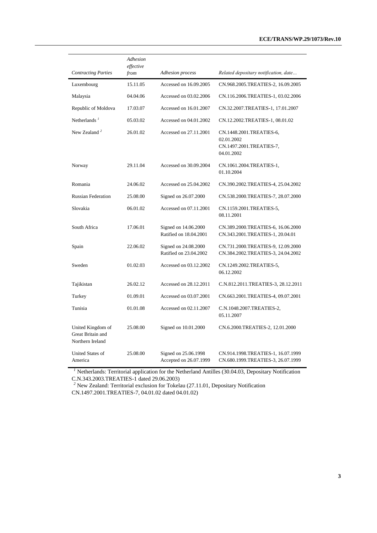|                                                            | Adhesion<br>effective |                                                |                                                                                  |
|------------------------------------------------------------|-----------------------|------------------------------------------------|----------------------------------------------------------------------------------|
| <b>Contracting Parties</b>                                 | from                  | Adhesion process                               | Related depositary notification, date                                            |
| Luxembourg                                                 | 15.11.05              | Accessed on 16.09.2005                         | CN.968.2005.TREATIES-2, 16.09.2005                                               |
| Malaysia                                                   | 04.04.06              | Accessed on 03.02.2006                         | CN.116.2006.TREATIES-1, 03.02.2006                                               |
| Republic of Moldova                                        | 17.03.07              | Accessed on 16.01.2007                         | CN.32.2007.TREATIES-1, 17.01.2007                                                |
| Netherlands <sup><math>I</math></sup>                      | 05.03.02              | Accessed on 04.01.2002                         | CN.12.2002.TREATIES-1, 08.01.02                                                  |
| New Zealand <sup>2</sup>                                   | 26.01.02              | Accessed on 27.11.2001                         | CN.1448.2001.TREATIES-6,<br>02.01.2002<br>CN.1497.2001.TREATIES-7,<br>04.01.2002 |
| Norway                                                     | 29.11.04              | Accessed on 30.09.2004                         | CN.1061.2004.TREATIES-1,<br>01.10.2004                                           |
| Romania                                                    | 24.06.02              | Accessed on 25.04.2002                         | CN.390.2002.TREATIES-4, 25.04.2002                                               |
| <b>Russian Federation</b>                                  | 25.08.00              | Signed on 26.07.2000                           | CN.538.2000.TREATIES-7, 28.07.2000                                               |
| Slovakia                                                   | 06.01.02              | Accessed on 07.11.2001                         | CN.1159.2001.TREATIES-5,<br>08.11.2001                                           |
| South Africa                                               | 17.06.01              | Signed on 14.06.2000<br>Ratified on 18.04.2001 | CN.389.2000.TREATIES-6, 16.06.2000<br>CN.343.2001.TREATIES-1, 20.04.01           |
| Spain                                                      | 22.06.02              | Signed on 24.08.2000<br>Ratified on 23.04.2002 | CN.731.2000.TREATIES-9, 12.09.2000<br>CN.384.2002.TREATIES-3, 24.04.2002         |
| Sweden                                                     | 01.02.03              | Accessed on 03.12.2002                         | CN.1249.2002.TREATIES-5,<br>06.12.2002                                           |
| Tajikistan                                                 | 26.02.12              | Accessed on 28.12.2011                         | C.N.812.2011.TREATIES-3, 28.12.2011                                              |
| Turkey                                                     | 01.09.01              | Accessed on 03.07.2001                         | CN.663.2001.TREATIES-4, 09.07.2001                                               |
| Tunisia                                                    | 01.01.08              | Accessed on 02.11.2007                         | C.N.1048.2007.TREATIES-2,<br>05.11.2007                                          |
| United Kingdom of<br>Great Britain and<br>Northern Ireland | 25.08.00              | Signed on 10.01.2000                           | CN.6.2000.TREATIES-2, 12.01.2000                                                 |
| <b>United States of</b><br>America                         | 25.08.00              | Signed on 25.06.1998<br>Accepted on 26.07.1999 | CN.914.1998.TREATIES-1, 16.07.1999<br>CN.680.1999.TREATIES-3, 26.07.1999         |

<sup>1</sup> Netherlands: Territorial application for the Netherland Antilles (30.04.03, Depositary Notification C.N.343.2003.TREATIES-1 dated 29.06.2003)

<sup>2</sup> New Zealand: Territorial exclusion for Tokelau (27.11.01, Depositary Notification CN.1497.2001.TREATIES-7, 04.01.02 dated 04.01.02)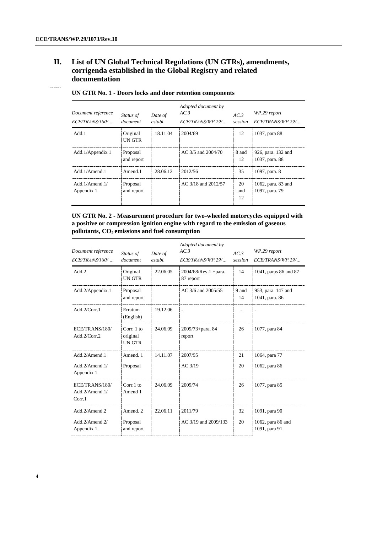# **II. List of UN Global Technical Regulations (UN GTRs), amendments, corrigenda established in the Global Registry and related documentation**

| Document reference<br>$ECE/TRANS/180/$ | Status of<br>document  | Date of<br>establ. | Adopted document by<br>AC.3<br>ECE/TRANS/WP.29/ | AC.3<br>session | WP.29 report<br>ECE/TRANS/WP.29/     |
|----------------------------------------|------------------------|--------------------|-------------------------------------------------|-----------------|--------------------------------------|
| Add.1                                  | Original<br>UN GTR     | 18.11 04           | 2004/69                                         | 12              | 1037, para 88                        |
| Add.1/Appendix 1                       | Proposal<br>and report |                    | $AC.3/5$ and $2004/70$                          | 8 and<br>12     | 926, para. 132 and<br>1037, para. 88 |
| Add.1/Amend.1                          | Amend <sub>.1</sub>    | 28.06.12           | 2012/56                                         | 35              | 1097, para. 8                        |
| Add. $1/A$ mend. $1/$<br>Appendix 1    | Proposal<br>and report |                    | AC.3/18 and 2012/57                             | 20<br>and<br>12 | 1062, para. 83 and<br>1097, para. 79 |

#### **UN GTR No. 1 - Doors locks and door retention components**

#### **UN GTR No. 2 - Measurement procedure for two-wheeled motorcycles equipped with a positive or compression ignition engine with regard to the emission of gaseous pollutants, CO2 emissions and fuel consumption**

| Document reference<br>$ECE/TRANS/180/$              | Status of<br>document                    | Date of<br>establ. | Adopted document by<br>AC.3<br>ECE/TRANS/WP.29/ | AC.3<br>session | WP.29 report<br>ECE/TRANS/WP.29/                    |
|-----------------------------------------------------|------------------------------------------|--------------------|-------------------------------------------------|-----------------|-----------------------------------------------------|
| Add.2                                               | Original<br>UN GTR                       | 22.06.05           | $2004/68$ /Rev.1 + para.<br>87 report           | 14              | 1041, paras 86 and 87                               |
| Add.2/Appendix.1                                    | Proposal<br>and report                   |                    | AC.3/6 and 2005/55                              | 9 and<br>14     | 953, para. 147 and<br>1041, para. 86                |
| Add.2/Corr.1                                        | Erratum<br>(English)                     | 19.12.06           | $\overline{a}$                                  |                 | $\overline{a}$                                      |
| ECE/TRANS/180/<br>Add.2/Corr.2                      | Corr. $1$ to<br>original<br><b>UNGTR</b> | 24.06.09           | 2009/73+para. 84<br>report                      | 26              | 1077, para 84                                       |
| Add.2/Amend.1<br>$Add.2/A$ mend. $1/$<br>Appendix 1 | Amend. 1<br>Proposal                     | 14.11.07           | 2007/95<br>AC.3/19                              | 21<br>20        | 1064, para 77<br>1062, para 86                      |
| ECE/TRANS/180/<br>$Add.2/A$ mend. $1/$<br>Corr.1    | $Corr.1$ to<br>Amend 1                   | 24.06.09           | 2009/74                                         | 26              | 1077, para 85                                       |
| Add.2/Amend.2<br>Add.2/Amend.2/<br>Appendix 1       | Amend. 2<br>Proposal<br>and report       | 22.06.11           | 2011/79<br>AC.3/19 and 2009/133                 | 32<br>20        | 1091, para 90<br>1062, para 86 and<br>1091, para 91 |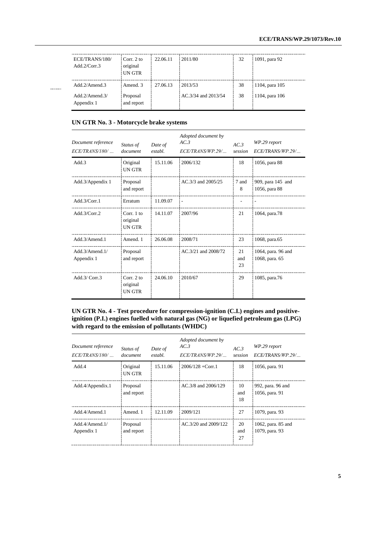| ECE/TRANS/180/<br>Add.2/Corr.3     | Corr. $2$ to<br>original<br>UN GTR | 22.06.11 | 2011/80             | 32 | 1091, para 92  |
|------------------------------------|------------------------------------|----------|---------------------|----|----------------|
| Add $2/A$ mend 3                   | Amend <sub>3</sub>                 | 27.06.13 | 2013/53             | 38 | 1104, para 105 |
| $Add.2/A$ mend. $3/$<br>Appendix 1 | Proposal<br>and report             |          | AC.3/34 and 2013/54 | 38 | 1104, para 106 |

#### **UN GTR No. 3 - Motorcycle brake systems**

| Document reference<br>$ECE/TRANS/180/$ | Status of<br>document              | Date of<br>establ. | Adopted document by<br>AC.3<br>ECE/TRANS/WP.29/ | AC.3<br>session | WP.29 report<br>ECE/TRANS/WP.29/     |
|----------------------------------------|------------------------------------|--------------------|-------------------------------------------------|-----------------|--------------------------------------|
| Add.3                                  | Original<br>UN GTR                 | 15.11.06           | 2006/132                                        | 18              | 1056, para 88                        |
| Add.3/Appendix 1                       | Proposal<br>and report             |                    | AC.3/3 and 2005/25                              | 7 and<br>8      | 909, para 145 and<br>1056, para 88   |
| Add.3/Corr.1                           | Erratum                            | 11.09.07           | $\overline{\phantom{a}}$                        |                 |                                      |
| Add.3/Corr.2                           | Corr. $1$ to<br>original<br>UN GTR | 14.11.07           | 2007/96                                         | 21              | 1064, para.78                        |
| Add.3/Amend.1                          | Amend. 1                           | 26.06.08           | 2008/71                                         | 23              | 1068, para.65                        |
| Add.3/Amend.1/<br>Appendix 1           | Proposal<br>and report             |                    | AC.3/21 and 2008/72                             | 21<br>and<br>23 | 1064, para. 96 and<br>1068, para. 65 |
| Add.3/Corr.3                           | Corr. $2$ to<br>original<br>UN GTR | 24.06.10           | 2010/67                                         | 29              | 1085, para.76                        |

#### **UN GTR No. 4 - Test procedure for compression-ignition (C.I.) engines and positiveignition (P.I.) engines fuelled with natural gas (NG) or liquefied petroleum gas (LPG) with regard to the emission of pollutants (WHDC)**

| Document reference<br>ECE/TRANS/180/ | Status of<br>document  | Date of<br>establ. | Adopted document by<br>AC.3<br>ECE/TRANS/WP.29/ | AC.3<br>session | WP.29 report<br>ECE/TRANS/WP.29/     |
|--------------------------------------|------------------------|--------------------|-------------------------------------------------|-----------------|--------------------------------------|
| Add.4                                | Original<br>UN GTR     | 15.11.06           | $2006/128 + Corr.1$                             | 18              | 1056, para. 91                       |
| Add.4/Appendix.1                     | Proposal<br>and report |                    | AC.3/8 and 2006/129                             | 10<br>and<br>18 | 992, para. 96 and<br>1056, para. 91  |
| Add 4/Amend 1                        | Amend, 1               | 12.11.09           | 2009/121                                        | 27              | 1079, para. 93                       |
| Add $4/$ Amend $1/$<br>Appendix 1    | Proposal<br>and report |                    | AC.3/20 and 2009/122                            | 20<br>and<br>27 | 1062, para. 85 and<br>1079, para. 93 |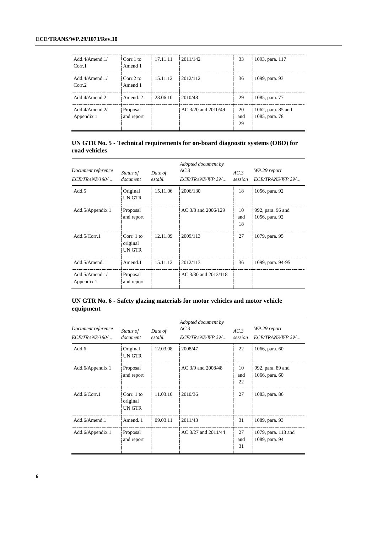| Add.4/Amend.1/<br>Corr <sub>1</sub> | $Corr.1$ to<br>Amend 1 | 17.11.11 | 2011/142                | 33              | 1093, para. 117                      |
|-------------------------------------|------------------------|----------|-------------------------|-----------------|--------------------------------------|
| Add $4/$ Amend $1/$<br>Corr.2       | Corr.2 to<br>Amend 1   | 15.11.12 | 2012/112                | 36              | 1099, para. 93                       |
| Add.4/Amend.2                       | Amend 2                | 23.06.10 | 2010/48                 | 29              | 1085, para. 77                       |
| Add $4/$ Amend $2/$<br>Appendix 1   | Proposal<br>and report |          | $AC.3/20$ and $2010/49$ | 20<br>and<br>29 | 1062, para. 85 and<br>1085, para. 78 |

#### **UN GTR No. 5 - Technical requirements for on-board diagnostic systems (OBD) for road vehicles**

| Document reference<br>$ECE/TRANS/180/$ | Status of<br>document              | Date of<br>establ. | Adopted document by<br>AC.3<br>ECE/TRANS/WP.29/ | AC.3<br>session | WP.29 report<br>ECE/TRANS/WP.29/    |
|----------------------------------------|------------------------------------|--------------------|-------------------------------------------------|-----------------|-------------------------------------|
| Add.5                                  | Original<br>UN GTR                 | 15.11.06           | 2006/130                                        | 18              | 1056, para. 92                      |
| Add.5/Appendix 1                       | Proposal<br>and report             |                    | AC.3/8 and 2006/129                             | 10<br>and<br>18 | 992, para. 96 and<br>1056, para. 92 |
| Add.5/Corr.1                           | Corr. $1$ to<br>original<br>UN GTR | 12.11.09           | 2009/113                                        | 27              | 1079, para. 95                      |
| Add.5/Amend.1                          | Amend.1                            | 15.11.12           | 2012/113                                        | 36              | 1099, para. 94-95                   |
| Add.5/Amend.1/<br>Appendix 1           | Proposal<br>and report             |                    | AC.3/30 and 2012/118                            |                 |                                     |

#### **UN GTR No. 6 - Safety glazing materials for motor vehicles and motor vehicle equipment**

| Document reference<br>$ECE/TRANS/180/$ | Status of<br>document            | Date of<br>establ. | Adopted document by<br>AC.3<br>ECE/TRANS/WP.29/ | AC.3<br>session | WP.29 report<br>ECE/TRANS/WP.29/      |
|----------------------------------------|----------------------------------|--------------------|-------------------------------------------------|-----------------|---------------------------------------|
| Add.6                                  | Original<br>UN GTR               | 12.03.08           | 2008/47                                         | 22              | 1066, para. 60                        |
| Add.6/Appendix 1                       | Proposal<br>and report           |                    | AC.3/9 and 2008/48                              | 10<br>and<br>22 | 992, para. 89 and<br>1066, para. 60   |
| Add.6/Corr.1                           | Corr. 1 to<br>original<br>UN GTR | 11.03.10           | 2010/36                                         | 27              | 1083, para. 86                        |
| Add.6/Amend.1                          | Amend. 1                         | 09.03.11           | 2011/43                                         | 31              | 1089, para. 93                        |
| Add.6/Appendix 1                       | Proposal<br>and report           |                    | AC.3/27 and 2011/44                             | 27<br>and<br>31 | 1079, para. 113 and<br>1089, para. 94 |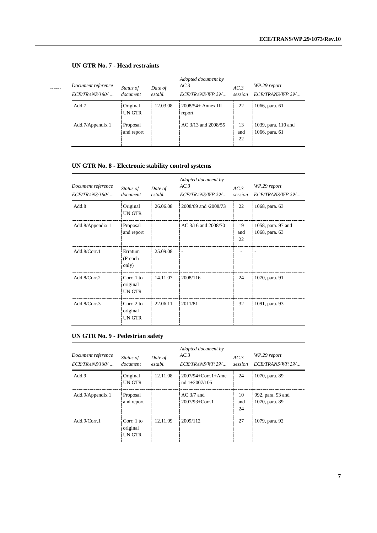| Document reference<br>$ECE/TRANS/180/$ | Status of<br>document  | Date of<br>establ. | Adopted document by<br>AC.3<br>ECE/TRANS/WP.29/ | AC.3<br>session | WP.29 report<br>ECE/TRANS/WP.29/      |
|----------------------------------------|------------------------|--------------------|-------------------------------------------------|-----------------|---------------------------------------|
| Add.7                                  | Original<br>UN GTR     | 12.03.08           | $2008/54 +$ Annex III<br>report                 | 22              | 1066, para. 61                        |
| Add.7/Appendix 1                       | Proposal<br>and report |                    | AC.3/13 and 2008/55                             | 13<br>and<br>22 | 1039, para. 110 and<br>1066, para. 61 |

# **UN GTR No. 7 - Head restraints**

# **UN GTR No. 8 - Electronic stability control systems**

| Document reference<br>$ECE/TRANS/180/$ | Status of<br>document              | Date of<br>establ. | Adopted document by<br>AC.3<br>ECE/TRANS/WP.29/ | AC.3<br>session | WP.29 report<br>ECE/TRANS/WP.29/     |
|----------------------------------------|------------------------------------|--------------------|-------------------------------------------------|-----------------|--------------------------------------|
| Add.8                                  | Original<br>UN GTR                 | 26.06.08           | 2008/69 and /2008/73                            | 22              | 1068, para. 63                       |
| Add.8/Appendix 1                       | Proposal<br>and report             |                    | AC.3/16 and 2008/70                             | 19<br>and<br>22 | 1058, para. 97 and<br>1068, para. 63 |
| Add.8/Corr.1                           | Erratum<br>(French<br>only)        | 25.09.08           | $\overline{\phantom{a}}$                        |                 |                                      |
| Add.8/Corr.2                           | Corr. 1 to<br>original<br>UN GTR   | 14.11.07           | 2008/116                                        | 24              | 1070, para. 91                       |
| Add.8/Corr.3                           | Corr. $2$ to<br>original<br>UN GTR | 22.06.11           | 2011/81                                         | 32              | 1091, para. 93                       |

# **UN GTR No. 9 - Pedestrian safety**

| Document reference<br>ECE/TRANS/180/ | <i>Status of</i><br>document              | Date of<br>establ. | Adopted document by<br>AC.3<br>ECE/TRANS/WP.29/ | AC.3<br>session | WP.29 report<br>ECE/TRANS/WP.29/    |
|--------------------------------------|-------------------------------------------|--------------------|-------------------------------------------------|-----------------|-------------------------------------|
| Add.9                                | Original<br><b>UN GTR</b>                 | 12.11.08           | $2007/94 + Corr.1 + Ame$<br>$nd.1+2007/105$     | 24              | 1070, para. 89                      |
| Add.9/Appendix 1                     | Proposal<br>and report                    |                    | $AC.3/7$ and<br>$2007/93 + Corr.1$              | 10<br>and<br>24 | 992, para. 93 and<br>1070, para. 89 |
| Add.9/Corr.1                         | Corr. $1$ to<br>original<br><b>UN GTR</b> | 12.11.09           | 2009/112                                        | 27              | 1079, para. 92                      |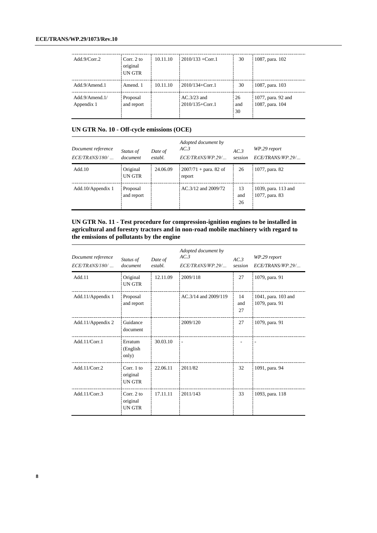| Add.9/Corr.2                 | Corr. 2 to<br>original<br>UN GTR | 10.11.10 | $2010/133 +$ Corr.1                  | 30              | 1087, para. 102                       |
|------------------------------|----------------------------------|----------|--------------------------------------|-----------------|---------------------------------------|
| Add.9/Amend.1                | Amend 1                          | 10.11.10 | $2010/134 +$ Corr.1                  | 30              | 1087, para. 103                       |
| Add.9/Amend.1/<br>Appendix 1 | Proposal<br>and report           |          | $AC.3/23$ and<br>$2010/135 + Corr.1$ | 26<br>and<br>30 | 1077, para. 92 and<br>1087, para. 104 |

# **UN GTR No. 10 - Off-cycle emissions (OCE)**

| Document reference<br>ECE/TRANS/180/ | Status of<br>document  | Date of<br>establ. | Adopted document by<br>AC.3<br>ECE/TRANS/WP.29/ | AC.3<br>session | WP.29 report<br>ECE/TRANS/WP.29/      |
|--------------------------------------|------------------------|--------------------|-------------------------------------------------|-----------------|---------------------------------------|
| Add.10                               | Original<br>UN GTR     | 24.06.09           | $2007/71 +$ para. 82 of<br>report               | 26              | 1077, para. 82                        |
| Add.10/Appendix 1                    | Proposal<br>and report |                    | AC.3/12 and 2009/72                             | 13<br>and<br>26 | 1039, para. 113 and<br>1077, para. 83 |

#### **UN GTR No. 11 - Test procedure for compression-ignition engines to be installed in agricultural and forestry tractors and in non-road mobile machinery with regard to the emissions of pollutants by the engine**

| Document reference<br>ECE/TRANS/180/ | Status of<br>document                   | Date of<br>establ. | Adopted document by<br>AC.3<br>ECE/TRANS/WP.29/ | AC.3<br>session | WP.29 report<br>ECE/TRANS/WP.29/      |
|--------------------------------------|-----------------------------------------|--------------------|-------------------------------------------------|-----------------|---------------------------------------|
| Add.11                               | Original<br>UN GTR                      | 12.11.09           | 2009/118                                        | 27              | 1079, para. 91                        |
| Add.11/Appendix 1                    | Proposal<br>and report                  |                    | AC.3/14 and 2009/119                            | 14<br>and<br>27 | 1041, para. 103 and<br>1079, para. 91 |
| Add.11/Appendix 2                    | Guidance<br>document                    |                    | 2009/120                                        | 27              | 1079, para. 91                        |
| Add.11/Corr.1                        | Erratum<br>(English)<br>only)           | 30.03.10           | $\overline{a}$                                  |                 |                                       |
| Add.11/ $Corr.2$                     | Corr. 1 to<br>original<br><b>UN GTR</b> | 22.06.11           | 2011/82                                         | 32              | 1091, para. 94                        |
| Add.11/ $Corr.3$                     | Corr. $2$ to<br>original<br>UN GTR      | 17.11.11           | 2011/143                                        | 33              | 1093, para. 118                       |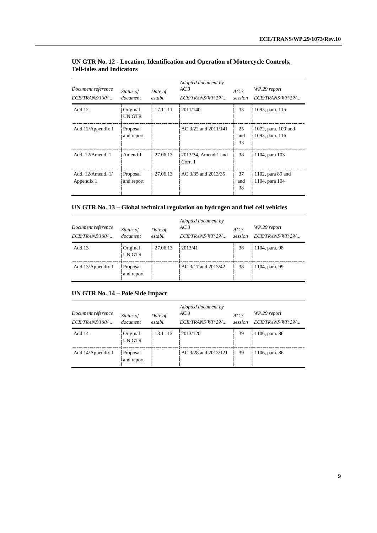| Document reference<br>$ECE/TRANS/180/$ | Status of<br>document  | Date of<br>establ. | Adopted document by<br>AC.3<br>ECE/TRANS/WP.29/ | AC.3<br>session | WP.29 report<br>ECE/TRANS/WP.29/       |
|----------------------------------------|------------------------|--------------------|-------------------------------------------------|-----------------|----------------------------------------|
| Add.12                                 | Original<br>UN GTR     | 17.11.11           | 2011/140                                        | 33              | 1093, para. 115                        |
| Add.12/Appendix 1                      | Proposal<br>and report |                    | AC.3/22 and 2011/141                            | 25<br>and<br>33 | 1072, para. 100 and<br>1093, para. 116 |
| Add. 12/Amend. 1                       | Amend.1                | 27.06.13           | 2013/34, Amend.1 and<br>Corr. 1                 | 38              | 1104, para 103                         |
| Add. 12/Amend. 1/<br>Appendix 1        | Proposal<br>and report | 27.06.13           | AC.3/35 and 2013/35                             | 37<br>and<br>38 | 1102, para 89 and<br>1104, para 104    |

# **UN GTR No. 12 - Location, Identification and Operation of Motorcycle Controls, Tell-tales and Indicators**

# **UN GTR No. 13 – Global technical regulation on hydrogen and fuel cell vehicles**

| Document reference<br>$ECE/TRANS/180/$ | Status of<br>document  | Date of<br>establ. | Adopted document by<br>AC.3<br>ECE/TRANS/WP.29/ | AC.3<br>session | WP.29 report<br>ECE/TRANS/WP.29/ |
|----------------------------------------|------------------------|--------------------|-------------------------------------------------|-----------------|----------------------------------|
| Add.13                                 | Original<br>UN GTR     | 27.06.13           | 2013/41                                         | 38              | 1104, para. 98                   |
| Add.13/Appendix 1                      | Proposal<br>and report |                    | AC.3/17 and 2013/42                             | 38              | 1104, para. 99                   |

#### **UN GTR No. 14 – Pole Side Impact**

| Document reference<br>ECE/TRANS/180/ | Status of<br>document  | Date of<br>establ. | Adopted document by<br>AC.3<br>ECE/TRANS/WP.29/ | AC.3<br>session | WP.29 report<br>ECE/TRANS/WP.29/ |
|--------------------------------------|------------------------|--------------------|-------------------------------------------------|-----------------|----------------------------------|
| Add.14                               | Original<br>UN GTR     | 13.11.13           | 2013/120                                        | 39              | 1106, para. 86                   |
| Add.14/Appendix 1                    | Proposal<br>and report |                    | AC.3/28 and 2013/121                            | 39              | 1106, para. 86                   |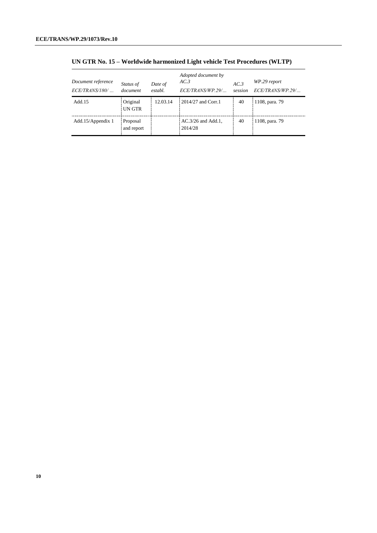| Document reference<br>$ECE/TRANS/180/$ | Status of<br>document  | Date of<br>establ. | Adopted document by<br>AC.3<br>ECE/TRANS/WP.29/ | AC.3<br>session | WP.29 report<br>ECE/TRANS/WP.29/ |
|----------------------------------------|------------------------|--------------------|-------------------------------------------------|-----------------|----------------------------------|
| Add. 15                                | Original<br>UN GTR     | 12.03.14           | $2014/27$ and Corr.1                            | 40              | 1108, para. 79                   |
| Add.15/Appendix 1                      | Proposal<br>and report |                    | $AC.3/26$ and $Add.1$ ,<br>2014/28              | 40              | 1108, para. 79                   |

**UN GTR No. 15 – Worldwide harmonized Light vehicle Test Procedures (WLTP)**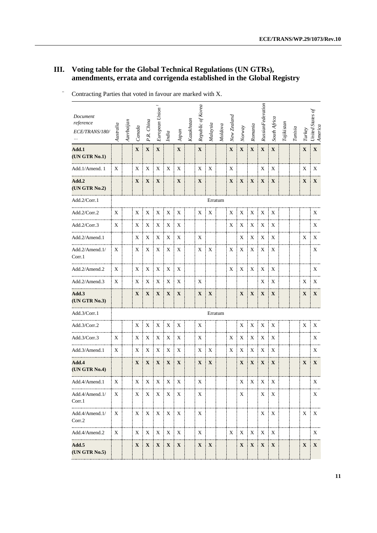# **III. Voting table for the Global Technical Regulations (UN GTRs), amendments, errata and corrigenda established in the Global Registry**

| Document<br>reference<br>ECE/TRANS/180/ | Australia | Azerbaijan | Canada       | P.R. China   | European Union <sup>1</sup> | India       | Japan        | Kazakhstan | Republic of Korea | Malaysia    | Moldova | New Zealand | Norway       | Romania     | RussianFederation | South Africa | $\label{eq:1} Tajikistan$ | Tunisia | Turkey      | United States of<br>America |
|-----------------------------------------|-----------|------------|--------------|--------------|-----------------------------|-------------|--------------|------------|-------------------|-------------|---------|-------------|--------------|-------------|-------------------|--------------|---------------------------|---------|-------------|-----------------------------|
| Add.1<br>(UN GTR No.1)                  |           |            | $\mathbf X$  | $\mathbf X$  | $\mathbf X$                 |             | $\mathbf X$  |            | $\mathbf X$       |             |         | $\mathbf X$ | $\mathbf X$  | $\mathbf X$ | $\mathbf X$       | $\mathbf X$  |                           |         | $\mathbf X$ | $\mathbf X$                 |
| Add.1/Amend.1                           | X         |            | X            | X            | X                           | X           | X            |            | X                 | X           |         | X           |              |             | X                 | X            |                           |         | X           | X                           |
| Add.2<br>(UN GTR No.2)                  |           |            | X            | $\mathbf{X}$ | X                           |             | X            |            | $\mathbf{X}$      |             |         | $\mathbf X$ | $\mathbf X$  | $\mathbf X$ | $\mathbf X$       | X            |                           |         | $\mathbf X$ | $\mathbf X$                 |
| Add.2/Corr.1                            |           |            |              |              |                             |             |              |            |                   |             | Erratum |             |              |             |                   |              |                           |         |             |                             |
| Add.2/Corr.2                            | X         |            | X            | X            | X                           | X           | X            |            | X                 | X           |         | X           | X            | X           | X                 | X            |                           |         |             | X                           |
| Add.2/Corr.3                            | X         |            | X            | X            | $\mathbf X$                 | X           | X            |            |                   |             |         | X           | X            | $\mathbf X$ | X                 | X            |                           |         |             | X                           |
| Add.2/Amend.1                           |           |            | X            | X            | X                           | X           | X            |            | X                 |             |         |             | X            | X           | X                 | X            |                           |         | $\mathbf X$ | X                           |
| Add.2/Amend.1/<br>Corr.1                | X         |            | X            | X            | X                           | X           | Χ            |            | X                 | X           |         | X           | X            | X           | X                 | X            |                           |         |             | X                           |
| Add.2/Amend.2                           | X         |            | X            | X            | X                           | X           | X            |            |                   |             |         | X           | X            | X           | X                 | X            |                           |         |             | X                           |
| Add.2/Amend.3                           | X         |            | X            | X            | X                           | X           | X            |            | X                 |             |         |             |              |             | X                 | X            |                           |         | X           | X                           |
| Add.3<br>(UN GTR No.3)                  |           |            | $\mathbf{X}$ | $\mathbf{X}$ | $\mathbf X$                 | $\mathbf X$ | $\mathbf X$  |            | $\mathbf X$       | $\mathbf X$ |         |             | $\mathbf X$  | $\mathbf X$ | $\mathbf{X}$      | $\mathbf X$  |                           |         | $\mathbf X$ | $\mathbf X$                 |
| Add.3/Corr.1                            |           |            |              |              |                             |             |              |            |                   | Erratum     |         |             |              |             |                   |              |                           |         |             |                             |
| Add.3/Corr.2                            |           |            | X            | X            | X                           | X           | X            |            | X                 |             |         |             | X            | X           | X                 | X            |                           |         | X           | X                           |
| Add.3/Corr.3                            | X         |            | X            | X            | X                           | X           | X            |            | X                 |             |         | Χ           | X            | X           | X                 | X            |                           |         |             | X                           |
| Add.3/Amend.1                           | X         |            | X            | X            | X                           | X           | X            |            | X                 | X           |         | X           | X            | X           | X                 | X            |                           |         |             | X                           |
| Add.4<br>(UN GTR No.4)                  |           |            | $\mathbf{X}$ | $\mathbf{X}$ | $\mathbf{X}$                | X           | X            |            | $\mathbf{X}$      | $\mathbf X$ |         |             | $\mathbf{X}$ | $\mathbf X$ | $\mathbf{X}$      | X            |                           |         | $\mathbf X$ | $\mathbf X$                 |
| Add.4/Amend.1                           | X         |            | X            | $\mathbf X$  | $\mathbf X$                 | $\mathbf X$ | X            |            | X                 |             |         |             | $\mathbf X$  | $\mathbf X$ | X<br>ŧ            | X            |                           |         |             | $\mathbf X$                 |
| Add.4/Amend.1/<br>Corr.1                | X         |            | X            | $\mathbf X$  | $\mathbf X$                 | $\mathbf X$ | $\mathbf{X}$ |            | X                 |             |         |             | X            |             | $\mathbf X$       | X            |                           |         |             | X                           |
| Add.4/Amend.1/<br>Corr.2                | X         |            | X            | $\mathbf X$  | X                           | $\mathbf X$ | $\mathbf X$  |            | X                 |             |         |             |              |             | $\mathbf X$       | $\mathbf X$  |                           |         | X           | $\mathbf X$                 |
| Add.4/Amend.2                           | X         |            | X            | X            | X                           | X           | X            |            | X                 |             |         | X           | $\mathbf X$  | $\mathbf X$ | $\mathbf X$       | X            |                           |         |             | X                           |
| Add.5<br>(UN GTR No.5)                  |           |            | $\mathbf{X}$ | $\mathbf X$  | $\mathbf{X}$                | $\mathbf X$ | $\mathbf X$  |            | $\mathbf X$       | $\mathbf X$ |         |             | $\mathbf X$  | $\mathbf X$ | $\mathbf X$       | $\mathbf X$  |                           |         | X           | $\mathbf{X}$                |

Contracting Parties that voted in favour are marked with X.  $\frac{1}{2}$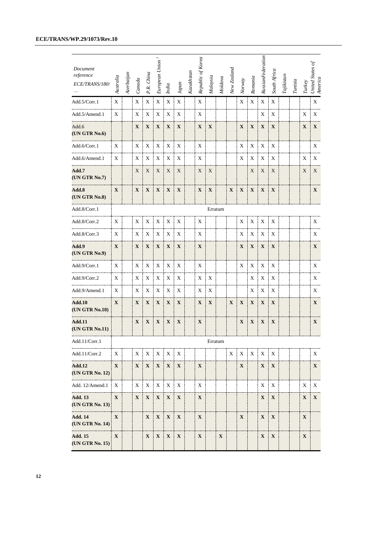| Document<br>reference<br>ECE/TRANS/180/ | Australia    | Azerbaijan | Canada       | P.R. China   | European Union <sup>1</sup> | India                     | Japan        | Kazakhstan | Republic of Korea | Malaysia     | Modova      | New Zealand  | Normay       | Romania      | RussianFederation | South Africa  | $\label{eq:1} Tajikisan$ | Tunisia | Turkey       | United States of<br>America |
|-----------------------------------------|--------------|------------|--------------|--------------|-----------------------------|---------------------------|--------------|------------|-------------------|--------------|-------------|--------------|--------------|--------------|-------------------|---------------|--------------------------|---------|--------------|-----------------------------|
| Add.5/Corr.1                            | $\mathbf X$  |            | $\mathbf X$  | $\mathbf X$  | $\mathbf X$                 | $\mathbf X$               | $\mathbf X$  |            | $\mathbf X$       |              |             |              | $\mathbf X$  | $\mathbf X$  | $\mathbf X$       | $\mathbf X$   |                          |         |              | $\mathbf X$                 |
| Add.5/Amend.1                           | X            |            | X            | X            | X                           | X                         | X            |            | X                 |              |             |              |              |              | X                 | X             |                          |         | Х            | X                           |
| Add.6<br>(UN GTR No.6)                  |              |            | $\mathbf X$  | $\mathbf{X}$ | $\mathbf X$                 | $\mathbf X$               | X            |            | X                 | X            |             |              | $\mathbf X$  | $\mathbf X$  | $\mathbf X$       | $\mathbf X$   |                          |         | $\mathbf X$  | $\mathbf{X}$                |
| Add.6/Corr.1                            | X            |            | X            | X            | X                           | X                         | X            |            | X                 |              |             |              | X            | $\mathbf X$  | X                 | X             |                          |         |              | X                           |
| Add.6/Amend.1                           | X            |            | X            | X            | X                           | X                         | X            |            | $\mathbf X$       |              |             |              | X            | $\mathbf X$  | X                 | X             |                          |         | X            | X                           |
| Add.7<br>(UN GTR No.7)                  |              |            | X            | X            | X                           | X                         | X            |            | X                 | X            |             |              |              | X            | X                 | X             |                          |         | X            | X                           |
| Add.8<br>(UN GTR No.8)                  | $\mathbf{X}$ |            | $\mathbf{X}$ | $\mathbf{X}$ | $\mathbf X$                 | $\mathbf{X}$              | $\mathbf X$  |            | $\mathbf X$       | $\mathbf{X}$ |             | $\mathbf{X}$ | $\mathbf X$  | $\mathbf{X}$ | $\mathbf X$       | $\mathbf{X}$  |                          |         |              | $\mathbf{X}$                |
| Add.8/Corr.1                            |              |            |              |              |                             |                           |              |            |                   | Erratum      |             |              |              |              |                   |               |                          |         |              |                             |
| Add.8/Corr.2                            | X            |            | X            | X            | X                           | X                         | X            |            | X                 |              |             |              | X            | X            | X                 | X             |                          |         |              | X                           |
| Add.8/Corr.3                            | X            |            | X            | X            | X                           | X                         | X            |            | $\mathbf X$       |              |             |              | X            | $\mathbf X$  | X                 | X             |                          |         |              | X                           |
| Add.9<br>(UN GTR No.9)                  | $\mathbf{X}$ |            | $\mathbf{X}$ | $\mathbf{X}$ | $\mathbf X$                 | $\mathbf{X}$              | $\mathbf{X}$ |            | $\mathbf X$       |              |             |              | $\mathbf{X}$ | $\mathbf X$  | $\mathbf X$       | X             |                          |         |              | $\mathbf{X}$                |
| Add.9/Corr.1                            | X            |            | X            | X            | X                           | X                         | X            |            | X                 |              |             |              | X            | X            | X                 | X             |                          |         |              | $\mathbf X$                 |
| Add.9/Corr.2                            | X            |            | X            | X            | X                           | X                         | X            |            | Χ                 | Χ            |             |              |              | X            | X                 | X             |                          |         |              | X                           |
| Add.9/Amend.1                           | X            |            | X            | X            | X                           | X                         | X            |            | Х                 | X            |             |              |              | X            | X                 | Χ             |                          |         |              | X                           |
| <b>Add.10</b><br>(UN GTR No.10)         | $\mathbf X$  |            | $\mathbf X$  | $\mathbf X$  | $\mathbf X$                 | X                         | $\mathbf{X}$ |            | X                 | X            |             | $\mathbf X$  | $\mathbf X$  | $\mathbf X$  | $\mathbf X$       | $\mathbf{X}$  |                          |         |              | $\mathbf{X}$                |
| <b>Add.11</b><br>(UN GTR No.11)         |              |            | $\mathbf X$  | $\mathbf{X}$ | $\mathbf{X}$                | $\mathbf X$               | $\mathbf X$  |            | $\mathbf X$       |              |             |              | $\mathbf X$  | $\mathbf{X}$ | X                 | $\mathbf X$   |                          |         |              | $\mathbf{X}$                |
| Add.11/Corr.1                           |              |            |              |              |                             |                           |              |            |                   | Erratum      |             |              |              |              |                   |               |                          |         |              |                             |
| Add.11/Corr.2                           | X            |            |              | $X \mid X$   | $\mid X \mid$               | X                         | X            |            |                   |              |             |              | $X \perp X$  | X            | $\mathbf{X}$      | $\mathbf{X}$  |                          |         |              | X                           |
| <b>Add.12</b><br>(UN GTR No. 12)        | $\mathbf{X}$ |            | $\mathbf{X}$ | $\mathbf{X}$ | $\mathbf{X}$                | $\mathbf{X}$              | $\mathbf{X}$ |            | X                 |              |             |              | $\mathbf{X}$ |              | $\mathbf{X}$      | $\parallel$ X |                          |         |              | $\mathbf{X}$                |
| Add. 12/Amend.1                         | X            |            | X            | X            | X                           | $\boldsymbol{\mathrm{X}}$ | X            |            | X                 |              |             |              |              |              | X                 | X             |                          |         | X            | $\boldsymbol{\mathrm{X}}$   |
| <b>Add. 13</b><br>(UN GTR No. 13)       | $\mathbf X$  |            | $\mathbf{X}$ |              | $X \mid X \mid X$           |                           | $\mathbf{X}$ |            | $\mathbf X$       |              |             |              |              |              | $\mathbf{X}$      | $\mathbf X$   |                          |         | $\mathbf{X}$ | $\mathbf{X}$                |
| <b>Add. 14</b><br>(UN GTR No. 14)       | $\mathbf{X}$ |            |              |              | $X \mid X \mid X$           |                           | $\mathbf X$  |            | $\mathbf X$       |              |             |              | $\mathbf{X}$ |              | $\mathbf{X}$      | $\mathbf{X}$  |                          |         | $\mathbf{X}$ |                             |
| <b>Add. 15</b><br>(UN GTR No. 15)       | $\mathbf{X}$ |            |              |              | $X \mid X \mid X$           |                           | $\mathbf{X}$ |            | $\mathbf X$       |              | $\mathbf X$ |              |              |              | $\mathbf{X}$      | $\mathbf{X}$  |                          |         | $\mathbf{X}$ |                             |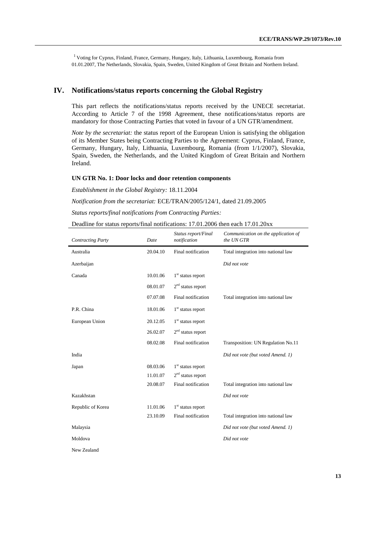<sup>1</sup> Voting for Cyprus, Finland, France, Germany, Hungary, Italy, Lithuania, Luxembourg, Romania from 01.01.2007, The Netherlands, Slovakia, Spain, Sweden, United Kingdom of Great Britain and Northern Ireland.

#### **IV. Notifications/status reports concerning the Global Registry**

This part reflects the notifications/status reports received by the UNECE secretariat. According to Article 7 of the 1998 Agreement, these notifications/status reports are mandatory for those Contracting Parties that voted in favour of a UN GTR/amendment.

*Note by the secretariat:* the status report of the European Union is satisfying the obligation of its Member States being Contracting Parties to the Agreement: Cyprus, Finland, France, Germany, Hungary, Italy, Lithuania, Luxembourg, Romania (from 1/1/2007), Slovakia, Spain, Sweden, the Netherlands, and the United Kingdom of Great Britain and Northern Ireland.

#### **UN GTR No. 1: Door locks and door retention components**

*Establishment in the Global Registry:* 18.11.2004

*Notification from the secretariat:* ECE/TRAN/2005/124/1, dated 21.09.2005

*Status reports/final notifications from Contracting Parties:*

Deadline for status reports/final notifications: 17.01.2006 then each 17.01.20xx

| <b>Contracting Party</b> | Date     | Status report/Final<br>notification | Communication on the application of<br>the UN GTR |
|--------------------------|----------|-------------------------------------|---------------------------------------------------|
| Australia                | 20.04.10 | Final notification                  | Total integration into national law               |
| Azerbaijan               |          |                                     | Did not vote                                      |
| Canada                   | 10.01.06 | $1st$ status report                 |                                                   |
|                          | 08.01.07 | $2nd$ status report                 |                                                   |
|                          | 07.07.08 | Final notification                  | Total integration into national law               |
| P.R. China               | 18.01.06 | $1st$ status report                 |                                                   |
| European Union           | 20.12.05 | $1st$ status report                 |                                                   |
|                          | 26.02.07 | $2nd$ status report                 |                                                   |
|                          | 08.02.08 | Final notification                  | Transposition: UN Regulation No.11                |
| India                    |          |                                     | Did not vote (but voted Amend. 1)                 |
| Japan                    | 08.03.06 | $1st$ status report                 |                                                   |
|                          | 11.01.07 | $2nd$ status report                 |                                                   |
|                          | 20.08.07 | Final notification                  | Total integration into national law               |
| Kazakhstan               |          |                                     | Did not vote                                      |
| Republic of Korea        | 11.01.06 | $1st$ status report                 |                                                   |
|                          | 23.10.09 | Final notification                  | Total integration into national law               |
| Malaysia                 |          |                                     | Did not vote (but voted Amend. 1)                 |
| Moldova                  |          |                                     | Did not vote                                      |
| New Zealand              |          |                                     |                                                   |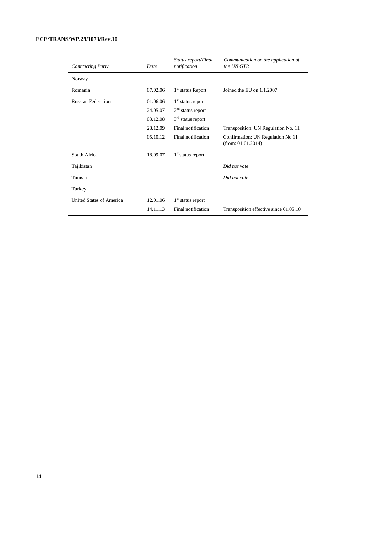#### **ECE/TRANS/WP.29/1073/Rev.10**

| <b>Contracting Party</b>  | Date     | Status report/Final<br>notification | Communication on the application of<br>the UN GTR       |
|---------------------------|----------|-------------------------------------|---------------------------------------------------------|
| Norway                    |          |                                     |                                                         |
| Romania                   | 07.02.06 | 1 <sup>st</sup> status Report       | Joined the EU on 1.1.2007                               |
| <b>Russian Federation</b> | 01.06.06 | $1st$ status report                 |                                                         |
|                           | 24.05.07 | $2nd$ status report                 |                                                         |
|                           | 03.12.08 | $3rd$ status report                 |                                                         |
|                           | 28.12.09 | Final notification                  | Transposition: UN Regulation No. 11                     |
|                           | 05.10.12 | Final notification                  | Confirmation: UN Regulation No.11<br>(from: 01.01.2014) |
| South Africa              | 18.09.07 | $1st$ status report                 |                                                         |
| Tajikistan                |          |                                     | Did not vote                                            |
| Tunisia                   |          |                                     | Did not vote                                            |
| Turkey                    |          |                                     |                                                         |
| United States of America  | 12.01.06 | $1st$ status report                 |                                                         |
|                           | 14.11.13 | Final notification                  | Transposition effective since 01.05.10                  |
|                           |          |                                     |                                                         |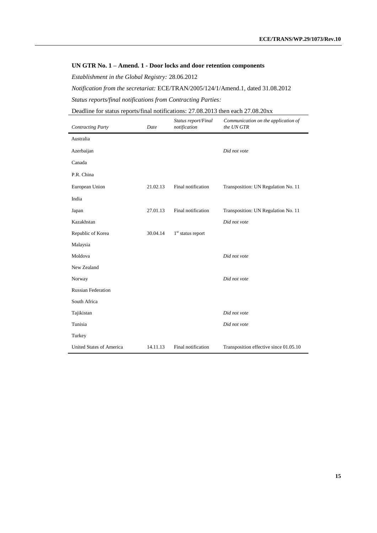#### **UN GTR No. 1 – Amend. 1 - Door locks and door retention components**

*Establishment in the Global Registry:* 28.06.2012

*Notification from the secretariat:* ECE/TRAN/2005/124/1/Amend.1, dated 31.08.2012

*Status reports/final notifications from Contracting Parties:*

Deadline for status reports/final notifications: 27.08.2013 then each 27.08.20xx

| <b>Contracting Party</b>  | Date     | Status report/Final<br>notification | Communication on the application of<br>the UN GTR |
|---------------------------|----------|-------------------------------------|---------------------------------------------------|
| Australia                 |          |                                     |                                                   |
| Azerbaijan                |          |                                     | Did not vote                                      |
| Canada                    |          |                                     |                                                   |
| P.R. China                |          |                                     |                                                   |
| European Union            | 21.02.13 | Final notification                  | Transposition: UN Regulation No. 11               |
| India                     |          |                                     |                                                   |
| Japan                     | 27.01.13 | Final notification                  | Transposition: UN Regulation No. 11               |
| Kazakhstan                |          |                                     | Did not vote                                      |
| Republic of Korea         | 30.04.14 | $1st$ status report                 |                                                   |
| Malaysia                  |          |                                     |                                                   |
| Moldova                   |          |                                     | Did not vote                                      |
| New Zealand               |          |                                     |                                                   |
| Norway                    |          |                                     | Did not vote                                      |
| <b>Russian Federation</b> |          |                                     |                                                   |
| South Africa              |          |                                     |                                                   |
| Tajikistan                |          |                                     | Did not vote                                      |
| Tunisia                   |          |                                     | Did not vote                                      |
| Turkey                    |          |                                     |                                                   |
| United States of America  | 14.11.13 | Final notification                  | Transposition effective since 01.05.10            |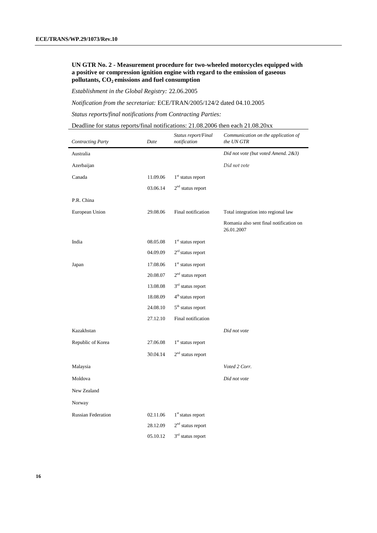#### **UN GTR No. 2 - Measurement procedure for two-wheeled motorcycles equipped with a positive or compression ignition engine with regard to the emission of gaseous pollutants, CO2 emissions and fuel consumption**

*Establishment in the Global Registry:* 22.06.2005

*Notification from the secretariat:* ECE/TRAN/2005/124/2 dated 04.10.2005

*Status reports/final notifications from Contracting Parties:*

| Deadline for status reports/final notifications: 21.08.2006 then each 21.08.20xx |  |
|----------------------------------------------------------------------------------|--|
|----------------------------------------------------------------------------------|--|

| <b>Contracting Party</b>  | Date     | Status report/Final<br>notification | Communication on the application of<br>the UN GTR     |
|---------------------------|----------|-------------------------------------|-------------------------------------------------------|
| Australia                 |          |                                     | Did not vote (but voted Amend. 2&3)                   |
| Azerbaijan                |          |                                     | Did not vote                                          |
| Canada                    | 11.09.06 | $1st$ status report                 |                                                       |
|                           | 03.06.14 | $2nd$ status report                 |                                                       |
| P.R. China                |          |                                     |                                                       |
| European Union            | 29.08.06 | Final notification                  | Total integration into regional law                   |
|                           |          |                                     | Romania also sent final notification on<br>26.01.2007 |
| India                     | 08.05.08 | $1st$ status report                 |                                                       |
|                           | 04.09.09 | $2rd$ status report                 |                                                       |
| Japan                     | 17.08.06 | $1st$ status report                 |                                                       |
|                           | 20.08.07 | $2nd$ status report                 |                                                       |
|                           | 13.08.08 | $3^{\rm rd}$ status report          |                                                       |
|                           | 18.08.09 | 4 <sup>th</sup> status report       |                                                       |
|                           | 24.08.10 | 5 <sup>th</sup> status report       |                                                       |
|                           | 27.12.10 | Final notification                  |                                                       |
| Kazakhstan                |          |                                     | Did not vote                                          |
| Republic of Korea         | 27.06.08 | $1st$ status report                 |                                                       |
|                           | 30.04.14 | $2nd$ status report                 |                                                       |
| Malaysia                  |          |                                     | Voted 2 Corr.                                         |
| Moldova                   |          |                                     | Did not vote                                          |
| New Zealand               |          |                                     |                                                       |
| Norway                    |          |                                     |                                                       |
| <b>Russian Federation</b> | 02.11.06 | $1st$ status report                 |                                                       |
|                           | 28.12.09 | $2nd$ status report                 |                                                       |
|                           | 05.10.12 | 3 <sup>rd</sup> status report       |                                                       |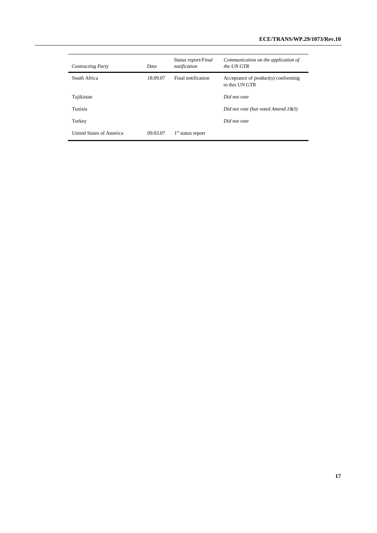| <b>Contracting Party</b> | Date     | Status report/Final<br>notification | Communication on the application of<br>the UN GTR     |
|--------------------------|----------|-------------------------------------|-------------------------------------------------------|
| South Africa             | 18.09.07 | Final notification                  | Acceptance of product(s) conforming<br>to this UN GTR |
| Tajikistan               |          |                                     | Did not vote                                          |
| Tunisia                  |          |                                     | Did not vote (but voted Amend.1&3)                    |
| Turkey                   |          |                                     | Did not vote                                          |
| United States of America | 09.03.07 | $1st$ status report                 |                                                       |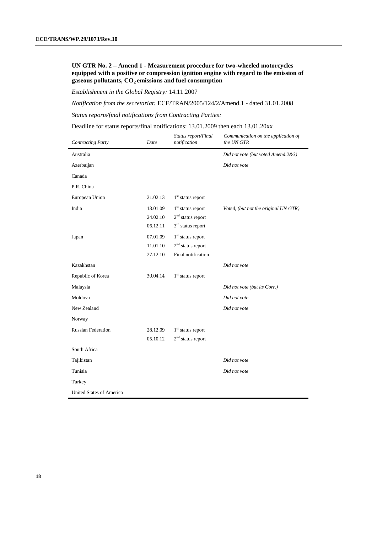#### **UN GTR No. 2 – Amend 1 - Measurement procedure for two-wheeled motorcycles equipped with a positive or compression ignition engine with regard to the emission of gaseous pollutants, CO2 emissions and fuel consumption**

*Establishment in the Global Registry:* 14.11.2007

*Notification from the secretariat:* ECE/TRAN/2005/124/2/Amend.1 - dated 31.01.2008

*Status reports/final notifications from Contracting Parties:*

| Deadline for status reports/final notifications: $13.01,2009$ then each $13.01,20xx$ |  |  |  |
|--------------------------------------------------------------------------------------|--|--|--|
|--------------------------------------------------------------------------------------|--|--|--|

| <b>Contracting Party</b>        | Date     | Status report/Final<br>notification | Communication on the application of<br>the UN GTR |
|---------------------------------|----------|-------------------------------------|---------------------------------------------------|
| Australia                       |          |                                     | Did not vote (but voted Amend.2&3)                |
| Azerbaijan                      |          |                                     | Did not vote                                      |
| Canada                          |          |                                     |                                                   |
| P.R. China                      |          |                                     |                                                   |
| European Union                  | 21.02.13 | $1st$ status report                 |                                                   |
| India                           | 13.01.09 | $1st$ status report                 | Voted, (but not the original UN GTR)              |
|                                 | 24.02.10 | $2nd$ status report                 |                                                   |
|                                 | 06.12.11 | 3 <sup>rd</sup> status report       |                                                   |
| Japan                           | 07.01.09 | $1st$ status report                 |                                                   |
|                                 | 11.01.10 | $2nd$ status report                 |                                                   |
|                                 | 27.12.10 | Final notification                  |                                                   |
| Kazakhstan                      |          |                                     | Did not vote                                      |
| Republic of Korea               | 30.04.14 | $1st$ status report                 |                                                   |
| Malaysia                        |          |                                     | Did not vote (but its Corr.)                      |
| Moldova                         |          |                                     | Did not vote                                      |
| New Zealand                     |          |                                     | Did not vote                                      |
| Norway                          |          |                                     |                                                   |
| <b>Russian Federation</b>       | 28.12.09 | $1st$ status report                 |                                                   |
|                                 | 05.10.12 | $2nd$ status report                 |                                                   |
| South Africa                    |          |                                     |                                                   |
| Tajikistan                      |          |                                     | Did not vote                                      |
| Tunisia                         |          |                                     | Did not vote                                      |
| Turkey                          |          |                                     |                                                   |
| <b>United States of America</b> |          |                                     |                                                   |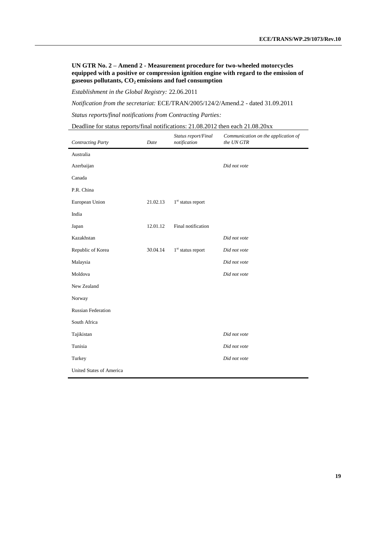**UN GTR No. 2 – Amend 2 - Measurement procedure for two-wheeled motorcycles equipped with a positive or compression ignition engine with regard to the emission of gaseous pollutants, CO2 emissions and fuel consumption**

*Establishment in the Global Registry:* 22.06.2011

*Notification from the secretariat:* ECE/TRAN/2005/124/2/Amend.2 - dated 31.09.2011

*Status reports/final notifications from Contracting Parties:*

Deadline for status reports/final notifications: 21.08.2012 then each 21.08.20xx

| <b>Contracting Party</b>  | Date     | Status report/Final<br>notification | Communication on the application of<br>the UN GTR |
|---------------------------|----------|-------------------------------------|---------------------------------------------------|
| Australia                 |          |                                     |                                                   |
| Azerbaijan                |          |                                     | Did not vote                                      |
| Canada                    |          |                                     |                                                   |
| P.R. China                |          |                                     |                                                   |
| European Union            | 21.02.13 | $1st$ status report                 |                                                   |
| India                     |          |                                     |                                                   |
| Japan                     | 12.01.12 | Final notification                  |                                                   |
| Kazakhstan                |          |                                     | Did not vote                                      |
| Republic of Korea         | 30.04.14 | $1st$ status report                 | Did not vote                                      |
| Malaysia                  |          |                                     | Did not vote                                      |
| Moldova                   |          |                                     | Did not vote                                      |
| New Zealand               |          |                                     |                                                   |
| Norway                    |          |                                     |                                                   |
| <b>Russian Federation</b> |          |                                     |                                                   |
| South Africa              |          |                                     |                                                   |
| Tajikistan                |          |                                     | Did not vote                                      |
| Tunisia                   |          |                                     | Did not vote                                      |
| Turkey                    |          |                                     | Did not vote                                      |
| United States of America  |          |                                     |                                                   |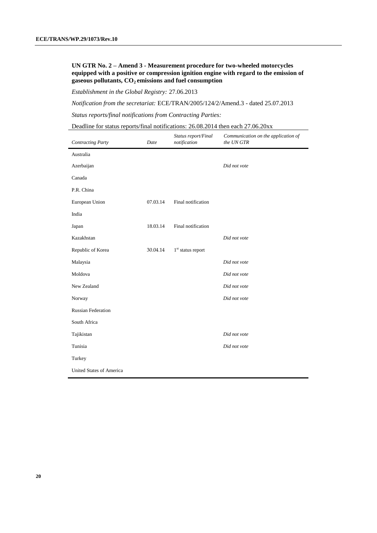#### **UN GTR No. 2 – Amend 3 - Measurement procedure for two-wheeled motorcycles equipped with a positive or compression ignition engine with regard to the emission of gaseous pollutants, CO2 emissions and fuel consumption**

*Establishment in the Global Registry:* 27.06.2013

*Notification from the secretariat:* ECE/TRAN/2005/124/2/Amend.3 - dated 25.07.2013

*Status reports/final notifications from Contracting Parties:*

Deadline for status reports/final notifications: 26.08.2014 then each 27.06.20xx

| <b>Contracting Party</b>  | Date     | Status report/Final<br>notification | Communication on the application of<br>the UN GTR |
|---------------------------|----------|-------------------------------------|---------------------------------------------------|
| Australia                 |          |                                     |                                                   |
| Azerbaijan                |          |                                     | Did not vote                                      |
| Canada                    |          |                                     |                                                   |
| P.R. China                |          |                                     |                                                   |
| European Union            | 07.03.14 | Final notification                  |                                                   |
| India                     |          |                                     |                                                   |
| Japan                     | 18.03.14 | Final notification                  |                                                   |
| Kazakhstan                |          |                                     | Did not vote                                      |
| Republic of Korea         | 30.04.14 | $1st$ status report                 |                                                   |
| Malaysia                  |          |                                     | Did not vote                                      |
| Moldova                   |          |                                     | Did not vote                                      |
| New Zealand               |          |                                     | Did not vote                                      |
| Norway                    |          |                                     | Did not vote                                      |
| <b>Russian Federation</b> |          |                                     |                                                   |
| South Africa              |          |                                     |                                                   |
| Tajikistan                |          |                                     | Did not vote                                      |
| Tunisia                   |          |                                     | Did not vote                                      |
| Turkey                    |          |                                     |                                                   |
| United States of America  |          |                                     |                                                   |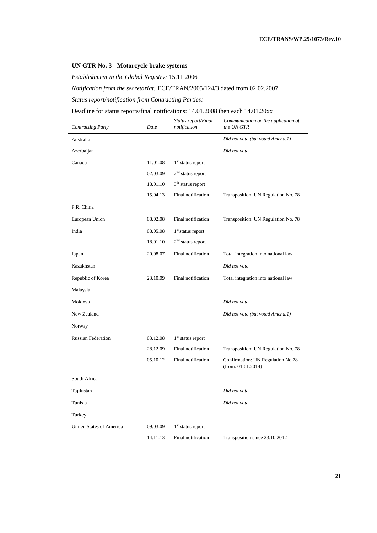#### **UN GTR No. 3 - Motorcycle brake systems**

*Establishment in the Global Registry:* 15.11.2006

*Notification from the secretariat:* ECE/TRAN/2005/124/3 dated from 02.02.2007

*Status report/notification from Contracting Parties:*

# Deadline for status reports/final notifications: 14.01.2008 then each 14.01.20xx

| <b>Contracting Party</b>        | Date     | Status report/Final<br>notification | Communication on the application of<br>the UN GTR       |
|---------------------------------|----------|-------------------------------------|---------------------------------------------------------|
| Australia                       |          |                                     | Did not vote (but voted Amend.1)                        |
| Azerbaijan                      |          |                                     | Did not vote                                            |
| Canada                          | 11.01.08 | 1 <sup>st</sup> status report       |                                                         |
|                                 | 02.03.09 | $2nd$ status report                 |                                                         |
|                                 | 18.01.10 | $3th$ status report                 |                                                         |
|                                 | 15.04.13 | Final notification                  | Transposition: UN Regulation No. 78                     |
| P.R. China                      |          |                                     |                                                         |
| European Union                  | 08.02.08 | Final notification                  | Transposition: UN Regulation No. 78                     |
| India                           | 08.05.08 | $1st$ status report                 |                                                         |
|                                 | 18.01.10 | $2nd$ status report                 |                                                         |
| Japan                           | 20.08.07 | Final notification                  | Total integration into national law                     |
| Kazakhstan                      |          |                                     | Did not vote                                            |
| Republic of Korea               | 23.10.09 | Final notification                  | Total integration into national law                     |
| Malaysia                        |          |                                     |                                                         |
| Moldova                         |          |                                     | Did not vote                                            |
| New Zealand                     |          |                                     | Did not vote (but voted Amend.1)                        |
| Norway                          |          |                                     |                                                         |
| <b>Russian Federation</b>       | 03.12.08 | $1st$ status report                 |                                                         |
|                                 | 28.12.09 | Final notification                  | Transposition: UN Regulation No. 78                     |
|                                 | 05.10.12 | Final notification                  | Confirmation: UN Regulation No.78<br>(from: 01.01.2014) |
| South Africa                    |          |                                     |                                                         |
| Tajikistan                      |          |                                     | Did not vote                                            |
| Tunisia                         |          |                                     | Did not vote                                            |
| Turkey                          |          |                                     |                                                         |
| <b>United States of America</b> | 09.03.09 | $1st$ status report                 |                                                         |
|                                 | 14.11.13 | Final notification                  | Transposition since 23.10.2012                          |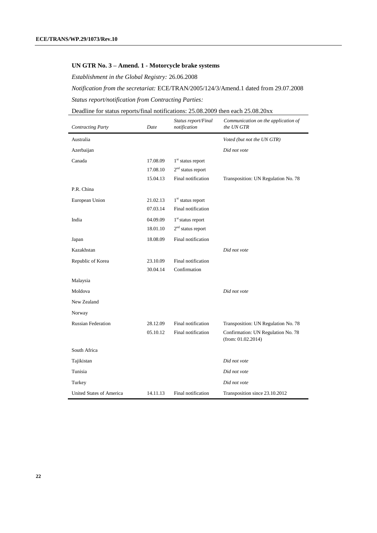#### **UN GTR No. 3 – Amend. 1 - Motorcycle brake systems**

*Establishment in the Global Registry:* 26.06.2008

*Notification from the secretariat:* ECE/TRAN/2005/124/3/Amend.1 dated from 29.07.2008 *Status report/notification from Contracting Parties:*

#### Deadline for status reports/final notifications: 25.08.2009 then each 25.08.20xx

| <b>Contracting Party</b>        | Date     | Status report/Final<br>notification | Communication on the application of<br>the UN GTR        |
|---------------------------------|----------|-------------------------------------|----------------------------------------------------------|
| Australia                       |          |                                     | Voted (but not the UN GTR)                               |
| Azerbaijan                      |          |                                     | Did not vote                                             |
| Canada                          | 17.08.09 | $1st$ status report                 |                                                          |
|                                 | 17.08.10 | $2nd$ status report                 |                                                          |
|                                 | 15.04.13 | Final notification                  | Transposition: UN Regulation No. 78                      |
| P.R. China                      |          |                                     |                                                          |
| European Union                  | 21.02.13 | 1 <sup>st</sup> status report       |                                                          |
|                                 | 07.03.14 | Final notification                  |                                                          |
| India                           | 04.09.09 | $1st$ status report                 |                                                          |
|                                 | 18.01.10 | $2nd$ status report                 |                                                          |
| Japan                           | 18.08.09 | Final notification                  |                                                          |
| Kazakhstan                      |          |                                     | Did not vote                                             |
| Republic of Korea               | 23.10.09 | Final notification                  |                                                          |
|                                 | 30.04.14 | Confirmation                        |                                                          |
| Malaysia                        |          |                                     |                                                          |
| Moldova                         |          |                                     | Did not vote                                             |
| New Zealand                     |          |                                     |                                                          |
| Norway                          |          |                                     |                                                          |
| <b>Russian Federation</b>       | 28.12.09 | Final notification                  | Transposition: UN Regulation No. 78                      |
|                                 | 05.10.12 | Final notification                  | Confirmation: UN Regulation No. 78<br>(from: 01.02.2014) |
| South Africa                    |          |                                     |                                                          |
| Tajikistan                      |          |                                     | Did not vote                                             |
| Tunisia                         |          |                                     | Did not vote                                             |
| Turkey                          |          |                                     | Did not vote                                             |
| <b>United States of America</b> | 14.11.13 | Final notification                  | Transposition since 23.10.2012                           |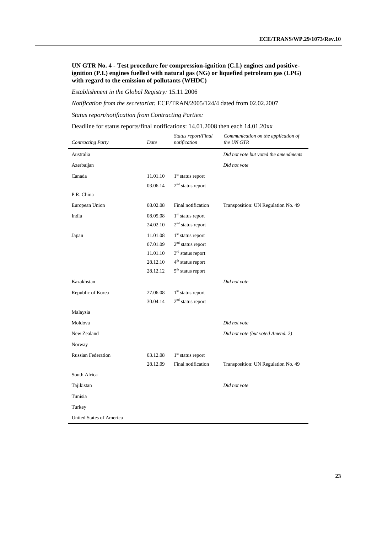#### **UN GTR No. 4 - Test procedure for compression-ignition (C.I.) engines and positiveignition (P.I.) engines fuelled with natural gas (NG) or liquefied petroleum gas (LPG) with regard to the emission of pollutants (WHDC)**

*Establishment in the Global Registry:* 15.11.2006

*Notification from the secretariat:* ECE/TRAN/2005/124/4 dated from 02.02.2007

*Status report/notification from Contracting Parties:*

| <b>Contracting Party</b>        | Date     | Status report/Final<br>notification | Communication on the application of<br>the UN GTR |
|---------------------------------|----------|-------------------------------------|---------------------------------------------------|
| Australia                       |          |                                     | Did not vote but voted the amendments             |
| Azerbaijan                      |          |                                     | Did not vote                                      |
| Canada                          | 11.01.10 | 1 <sup>st</sup> status report       |                                                   |
|                                 | 03.06.14 | $2nd$ status report                 |                                                   |
| P.R. China                      |          |                                     |                                                   |
| European Union                  | 08.02.08 | Final notification                  | Transposition: UN Regulation No. 49               |
| India                           | 08.05.08 | $1st$ status report                 |                                                   |
|                                 | 24.02.10 | $2nd$ status report                 |                                                   |
| Japan                           | 11.01.08 | $1st$ status report                 |                                                   |
|                                 | 07.01.09 | $2nd$ status report                 |                                                   |
|                                 | 11.01.10 | $3rd$ status report                 |                                                   |
|                                 | 28.12.10 | $4th$ status report                 |                                                   |
|                                 | 28.12.12 | $5th$ status report                 |                                                   |
| Kazakhstan                      |          |                                     | Did not vote                                      |
| Republic of Korea               | 27.06.08 | $1^{\rm st}$ status report          |                                                   |
|                                 | 30.04.14 | $2nd$ status report                 |                                                   |
| Malaysia                        |          |                                     |                                                   |
| Moldova                         |          |                                     | Did not vote                                      |
| New Zealand                     |          |                                     | Did not vote (but voted Amend. 2)                 |
| Norway                          |          |                                     |                                                   |
| <b>Russian Federation</b>       | 03.12.08 | $1st$ status report                 |                                                   |
|                                 | 28.12.09 | Final notification                  | Transposition: UN Regulation No. 49               |
| South Africa                    |          |                                     |                                                   |
| Tajikistan                      |          |                                     | Did not vote                                      |
| Tunisia                         |          |                                     |                                                   |
| Turkey                          |          |                                     |                                                   |
| <b>United States of America</b> |          |                                     |                                                   |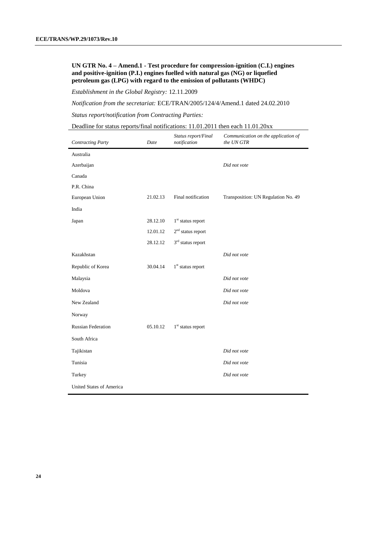#### **UN GTR No. 4 – Amend.1 - Test procedure for compression-ignition (C.I.) engines and positive-ignition (P.I.) engines fuelled with natural gas (NG) or liquefied petroleum gas (LPG) with regard to the emission of pollutants (WHDC)**

*Establishment in the Global Registry:* 12.11.2009

*Notification from the secretariat:* ECE/TRAN/2005/124/4/Amend.1 dated 24.02.2010

*Status report/notification from Contracting Parties:*

| Deadline for status reports/final notifications: $11.01.2011$ then each $11.01.20xx$ |  |  |  |
|--------------------------------------------------------------------------------------|--|--|--|
|--------------------------------------------------------------------------------------|--|--|--|

| <b>Contracting Party</b>  | Date     | Status report/Final<br>notification | Communication on the application of<br>the UN GTR |
|---------------------------|----------|-------------------------------------|---------------------------------------------------|
| Australia                 |          |                                     |                                                   |
| Azerbaijan                |          |                                     | Did not vote                                      |
| Canada                    |          |                                     |                                                   |
| P.R. China                |          |                                     |                                                   |
| European Union            | 21.02.13 | Final notification                  | Transposition: UN Regulation No. 49               |
| India                     |          |                                     |                                                   |
| Japan                     | 28.12.10 | $1st$ status report                 |                                                   |
|                           | 12.01.12 | $2nd$ status report                 |                                                   |
|                           | 28.12.12 | $3rd$ status report                 |                                                   |
| Kazakhstan                |          |                                     | Did not vote                                      |
| Republic of Korea         | 30.04.14 | $1st$ status report                 |                                                   |
| Malaysia                  |          |                                     | Did not vote                                      |
| Moldova                   |          |                                     | Did not vote                                      |
| New Zealand               |          |                                     | Did not vote                                      |
| Norway                    |          |                                     |                                                   |
| <b>Russian Federation</b> | 05.10.12 | $1st$ status report                 |                                                   |
| South Africa              |          |                                     |                                                   |
| Tajikistan                |          |                                     | Did not vote                                      |
| Tunisia                   |          |                                     | Did not vote                                      |
| Turkey                    |          |                                     | Did not vote                                      |
| United States of America  |          |                                     |                                                   |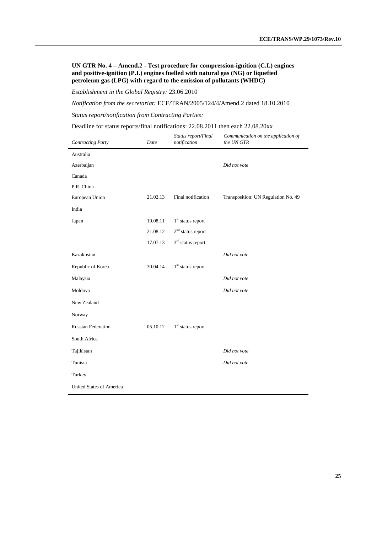**UN GTR No. 4 – Amend.2 - Test procedure for compression-ignition (C.I.) engines and positive-ignition (P.I.) engines fuelled with natural gas (NG) or liquefied petroleum gas (LPG) with regard to the emission of pollutants (WHDC)**

*Establishment in the Global Registry:* 23.06.2010

*Notification from the secretariat:* ECE/TRAN/2005/124/4/Amend.2 dated 18.10.2010

*Status report/notification from Contracting Parties:*

| Deadline for status reports/final notifications: 22.08.2011 then each 22.08.20xx |  |
|----------------------------------------------------------------------------------|--|
|----------------------------------------------------------------------------------|--|

| <b>Contracting Party</b>        | Date     | Status report/Final<br>notification | Communication on the application of<br>the UN GTR |
|---------------------------------|----------|-------------------------------------|---------------------------------------------------|
| Australia                       |          |                                     |                                                   |
| Azerbaijan                      |          |                                     | Did not vote                                      |
| Canada                          |          |                                     |                                                   |
| P.R. China                      |          |                                     |                                                   |
| European Union                  | 21.02.13 | Final notification                  | Transposition: UN Regulation No. 49               |
| India                           |          |                                     |                                                   |
| Japan                           | 19.08.11 | $1st$ status report                 |                                                   |
|                                 | 21.08.12 | $2nd$ status report                 |                                                   |
|                                 | 17.07.13 | 3 <sup>rd</sup> status report       |                                                   |
| Kazakhstan                      |          |                                     | Did not vote                                      |
| Republic of Korea               | 30.04.14 | $1st$ status report                 |                                                   |
| Malaysia                        |          |                                     | Did not vote                                      |
| Moldova                         |          |                                     | Did not vote                                      |
| New Zealand                     |          |                                     |                                                   |
| Norway                          |          |                                     |                                                   |
| <b>Russian Federation</b>       | 05.10.12 | $1st$ status report                 |                                                   |
| South Africa                    |          |                                     |                                                   |
| Tajikistan                      |          |                                     | Did not vote                                      |
| Tunisia                         |          |                                     | Did not vote                                      |
| Turkey                          |          |                                     |                                                   |
| <b>United States of America</b> |          |                                     |                                                   |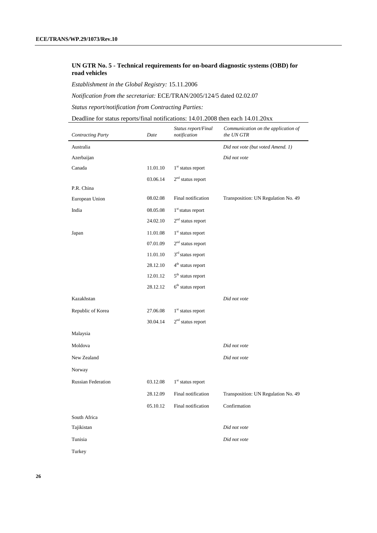#### **UN GTR No. 5 - Technical requirements for on-board diagnostic systems (OBD) for road vehicles**

*Establishment in the Global Registry:* 15.11.2006

*Notification from the secretariat:* ECE/TRAN/2005/124/5 dated 02.02.07

*Status report/notification from Contracting Parties:*

Deadline for status reports/final notifications: 14.01.2008 then each 14.01.20xx

| <b>Contracting Party</b>  | Date     | Status report/Final<br>notification | Communication on the application of<br>the UN GTR |
|---------------------------|----------|-------------------------------------|---------------------------------------------------|
| Australia                 |          |                                     | Did not vote (but voted Amend. 1)                 |
| Azerbaijan                |          |                                     | Did not vote                                      |
| Canada                    | 11.01.10 | $1st$ status report                 |                                                   |
|                           | 03.06.14 | $2nd$ status report                 |                                                   |
| P.R. China                |          |                                     |                                                   |
| European Union            | 08.02.08 | Final notification                  | Transposition: UN Regulation No. 49               |
| India                     | 08.05.08 | 1 <sup>st</sup> status report       |                                                   |
|                           | 24.02.10 | $2nd$ status report                 |                                                   |
| Japan                     | 11.01.08 | $1st$ status report                 |                                                   |
|                           | 07.01.09 | $2nd$ status report                 |                                                   |
|                           | 11.01.10 | $3rd$ status report                 |                                                   |
|                           | 28.12.10 | 4 <sup>th</sup> status report       |                                                   |
|                           | 12.01.12 | $5^{\text{th}}$ status report       |                                                   |
|                           | 28.12.12 | $6th$ status report                 |                                                   |
| Kazakhstan                |          |                                     | Did not vote                                      |
| Republic of Korea         | 27.06.08 | $1st$ status report                 |                                                   |
|                           | 30.04.14 | $2nd$ status report                 |                                                   |
| Malaysia                  |          |                                     |                                                   |
| Moldova                   |          |                                     | Did not vote                                      |
| New Zealand               |          |                                     | Did not vote                                      |
| Norway                    |          |                                     |                                                   |
| <b>Russian Federation</b> | 03.12.08 | $1^{\rm st}$ status report          |                                                   |
|                           | 28.12.09 | Final notification                  | Transposition: UN Regulation No. 49               |
|                           | 05.10.12 | Final notification                  | Confirmation                                      |
| South Africa              |          |                                     |                                                   |
| Tajikistan                |          |                                     | Did not vote                                      |
| Tunisia                   |          |                                     | Did not vote                                      |
| Turkey                    |          |                                     |                                                   |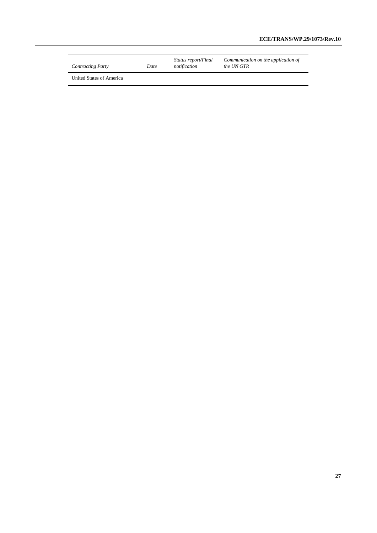| <b>Contracting Party</b> | Date | <i>Status report/Final</i><br>notification | Communication on the application of<br>the UN GTR |
|--------------------------|------|--------------------------------------------|---------------------------------------------------|
|--------------------------|------|--------------------------------------------|---------------------------------------------------|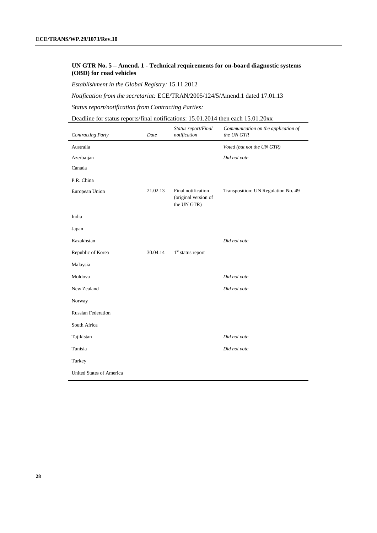#### **UN GTR No. 5 – Amend. 1 - Technical requirements for on-board diagnostic systems (OBD) for road vehicles**

*Establishment in the Global Registry:* 15.11.2012

*Notification from the secretariat:* ECE/TRAN/2005/124/5/Amend.1 dated 17.01.13

*Status report/notification from Contracting Parties:*

Deadline for status reports/final notifications: 15.01.2014 then each 15.01.20xx

| <b>Contracting Party</b>  | Date     | Status report/Final<br>notification                       | Communication on the application of<br>the UN GTR |
|---------------------------|----------|-----------------------------------------------------------|---------------------------------------------------|
| Australia                 |          |                                                           | Voted (but not the UN GTR)                        |
| Azerbaijan                |          |                                                           | Did not vote                                      |
| Canada                    |          |                                                           |                                                   |
| P.R. China                |          |                                                           |                                                   |
| European Union            | 21.02.13 | Final notification<br>(original version of<br>the UN GTR) | Transposition: UN Regulation No. 49               |
| India                     |          |                                                           |                                                   |
| Japan                     |          |                                                           |                                                   |
| Kazakhstan                |          |                                                           | Did not vote                                      |
| Republic of Korea         | 30.04.14 | $1st$ status report                                       |                                                   |
| Malaysia                  |          |                                                           |                                                   |
| Moldova                   |          |                                                           | Did not vote                                      |
| New Zealand               |          |                                                           | Did not vote                                      |
| Norway                    |          |                                                           |                                                   |
| <b>Russian Federation</b> |          |                                                           |                                                   |
| South Africa              |          |                                                           |                                                   |
| Tajikistan                |          |                                                           | Did not vote                                      |
| Tunisia                   |          |                                                           | Did not vote                                      |
| Turkey                    |          |                                                           |                                                   |
| United States of America  |          |                                                           |                                                   |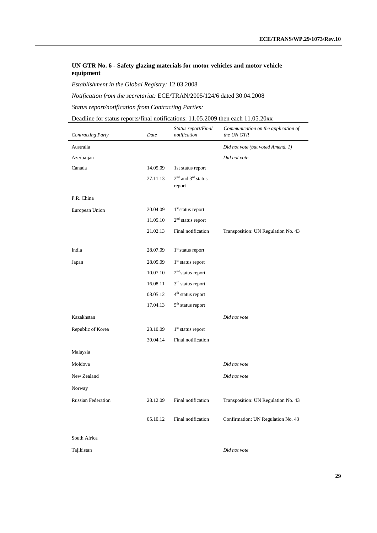#### **UN GTR No. 6 - Safety glazing materials for motor vehicles and motor vehicle equipment**

*Establishment in the Global Registry:* 12.03.2008

*Notification from the secretariat:* ECE/TRAN/2005/124/6 dated 30.04.2008

*Status report/notification from Contracting Parties:*

Deadline for status reports/final notifications: 11.05.2009 then each 11.05.20xx

| <b>Contracting Party</b>  | Date     | Status report/Final<br>notification | Communication on the application of<br>the UN GTR |
|---------------------------|----------|-------------------------------------|---------------------------------------------------|
| Australia                 |          |                                     | Did not vote (but voted Amend. 1)                 |
| Azerbaijan                |          |                                     | Did not vote                                      |
| Canada                    | 14.05.09 | 1st status report                   |                                                   |
|                           | 27.11.13 | $2nd$ and $3rd$ status<br>report    |                                                   |
| P.R. China                |          |                                     |                                                   |
| European Union            | 20.04.09 | $1st$ status report                 |                                                   |
|                           | 11.05.10 | $2nd$ status report                 |                                                   |
|                           | 21.02.13 | Final notification                  | Transposition: UN Regulation No. 43               |
|                           |          |                                     |                                                   |
| India                     | 28.07.09 | $1st$ status report                 |                                                   |
| Japan                     | 28.05.09 | $1st$ status report                 |                                                   |
|                           | 10.07.10 | $2nd$ status report                 |                                                   |
|                           | 16.08.11 | $3rd$ status report                 |                                                   |
|                           | 08.05.12 | 4 <sup>th</sup> status report       |                                                   |
|                           | 17.04.13 | $5th$ status report                 |                                                   |
| Kazakhstan                |          |                                     | Did not vote                                      |
| Republic of Korea         | 23.10.09 | $1st$ status report                 |                                                   |
|                           | 30.04.14 | Final notification                  |                                                   |
| Malaysia                  |          |                                     |                                                   |
| Moldova                   |          |                                     | Did not vote                                      |
| New Zealand               |          |                                     | Did not vote                                      |
| Norway                    |          |                                     |                                                   |
| <b>Russian Federation</b> | 28.12.09 | Final notification                  | Transposition: UN Regulation No. 43               |
|                           | 05.10.12 | Final notification                  | Confirmation: UN Regulation No. 43                |
| South Africa              |          |                                     |                                                   |

Tajikistan *Did not vote*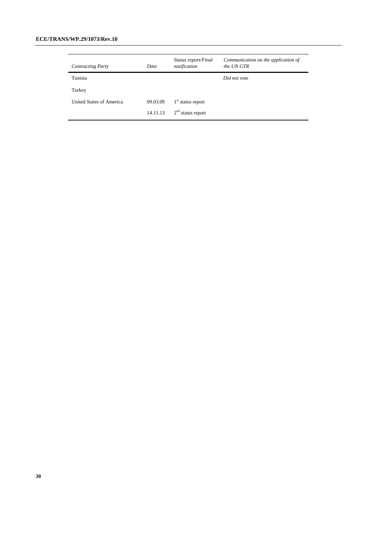#### **ECE/TRANS/WP.29/1073/Rev.10**

| <b>Contracting Party</b> | Date     | Status report/Final<br>notification | Communication on the application of<br>the UN GTR |
|--------------------------|----------|-------------------------------------|---------------------------------------------------|
| Tunisia                  |          |                                     | Did not vote                                      |
| Turkey                   |          |                                     |                                                   |
| United States of America | 09.03.09 | $1st$ status report                 |                                                   |
|                          | 14.11.13 | $2nd$ status report                 |                                                   |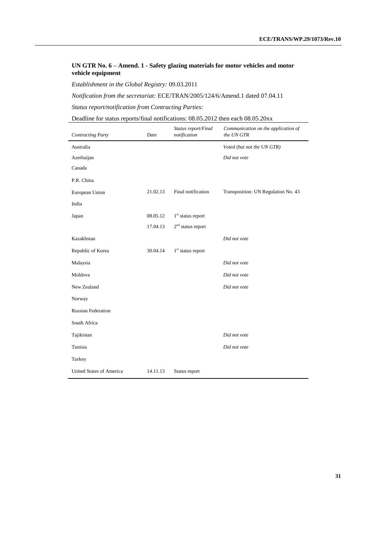#### **UN GTR No. 6 – Amend. 1 - Safety glazing materials for motor vehicles and motor vehicle equipment**

*Establishment in the Global Registry:* 09.03.2011

*Notification from the secretariat:* ECE/TRAN/2005/124/6/Amend.1 dated 07.04.11

*Status report/notification from Contracting Parties:*

Deadline for status reports/final notifications: 08.05.2012 then each 08.05.20xx

| <b>Contracting Party</b>  | Date     | Status report/Final<br>notification | Communication on the application of<br>the UN GTR |
|---------------------------|----------|-------------------------------------|---------------------------------------------------|
| Australia                 |          |                                     | Voted (but not the UN GTR)                        |
| Azerbaijan                |          |                                     | Did not vote                                      |
| Canada                    |          |                                     |                                                   |
| P.R. China                |          |                                     |                                                   |
| European Union            | 21.02.13 | Final notification                  | Transposition: UN Regulation No. 43               |
| India                     |          |                                     |                                                   |
| Japan                     | 08.05.12 | $1st$ status report                 |                                                   |
|                           | 17.04.13 | $2nd$ status report                 |                                                   |
| Kazakhstan                |          |                                     | Did not vote                                      |
| Republic of Korea         | 30.04.14 | $1st$ status report                 |                                                   |
| Malaysia                  |          |                                     | Did not vote                                      |
| Moldova                   |          |                                     | Did not vote                                      |
| New Zealand               |          |                                     | Did not vote                                      |
| Norway                    |          |                                     |                                                   |
| <b>Russian Federation</b> |          |                                     |                                                   |
| South Africa              |          |                                     |                                                   |
| Tajikistan                |          |                                     | Did not vote                                      |
| Tunisia                   |          |                                     | Did not vote                                      |
| Turkey                    |          |                                     |                                                   |
| United States of America  | 14.11.13 | Status report                       |                                                   |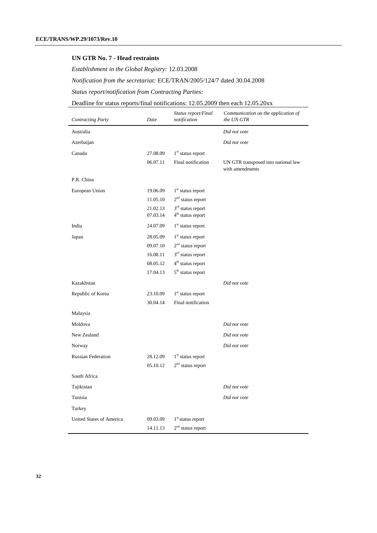#### **UN GTR No. 7 - Head restraints**

*Establishment in the Global Registry:* 12.03.2008

*Notification from the secretariat:* ECE/TRAN/2005/124/7 dated 30.04.2008

*Status report/notification from Contracting Parties:*

# Deadline for status reports/final notifications: 12.05.2009 then each 12.05.20xx

| <b>Contracting Party</b>        | Date     | Status report/Final<br>notification | Communication on the application of<br>the UN GTR      |
|---------------------------------|----------|-------------------------------------|--------------------------------------------------------|
| Australia                       |          |                                     | Did not vote                                           |
| Azerbaijan                      |          |                                     | Did not vote                                           |
| Canada                          | 27.08.09 | $1st$ status report                 |                                                        |
|                                 | 06.07.11 | Final notification                  | UN GTR transposed into national law<br>with amendments |
| P.R. China                      |          |                                     |                                                        |
| European Union                  | 19.06.09 | $1st$ status report                 |                                                        |
|                                 | 11.05.10 | $2nd$ status report                 |                                                        |
|                                 | 21.02.13 | 3 <sup>rd</sup> status report       |                                                        |
|                                 | 07.03.14 | 4 <sup>th</sup> status report       |                                                        |
| India                           | 24.07.09 | $1st$ status report                 |                                                        |
| Japan                           | 28.05.09 | $1st$ status report                 |                                                        |
|                                 | 09.07.10 | $2nd$ status report                 |                                                        |
|                                 | 16.08.11 | 3 <sup>rd</sup> status report       |                                                        |
|                                 | 08.05.12 | 4 <sup>th</sup> status report       |                                                        |
|                                 | 17.04.13 | $5th$ status report                 |                                                        |
| Kazakhstan                      |          |                                     | Did not vote                                           |
| Republic of Korea               | 23.10.09 | 1 <sup>st</sup> status report       |                                                        |
|                                 | 30.04.14 | Final notification                  |                                                        |
| Malaysia                        |          |                                     |                                                        |
| Moldova                         |          |                                     | Did not vote                                           |
| New Zealand                     |          |                                     | Did not vote                                           |
| Norway                          |          |                                     | Did not vote                                           |
| <b>Russian Federation</b>       | 28.12.09 | $1st$ status report                 |                                                        |
|                                 | 05.10.12 | $2nd$ status report                 |                                                        |
| South Africa                    |          |                                     |                                                        |
| Tajikistan                      |          |                                     | Did not vote                                           |
| Tunisia                         |          |                                     | Did not vote                                           |
| Turkey                          |          |                                     |                                                        |
| <b>United States of America</b> | 09.03.09 | 1 <sup>st</sup> status report       |                                                        |
|                                 | 14.11.13 | $2nd$ status report                 |                                                        |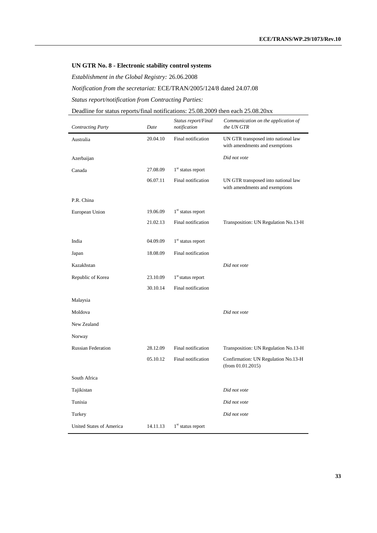#### **UN GTR No. 8 - Electronic stability control systems**

*Establishment in the Global Registry:* 26.06.2008

*Notification from the secretariat:* ECE/TRAN/2005/124/8 dated 24.07.08

*Status report/notification from Contracting Parties:*

#### Deadline for status reports/final notifications: 25.08.2009 then each 25.08.20xx

| <b>Contracting Party</b>        | Date     | Status report/Final<br>notification | Communication on the application of<br>the UN GTR                     |
|---------------------------------|----------|-------------------------------------|-----------------------------------------------------------------------|
| Australia                       | 20.04.10 | Final notification                  | UN GTR transposed into national law<br>with amendments and exemptions |
| Azerbaijan                      |          |                                     | Did not vote                                                          |
| Canada                          | 27.08.09 | $1st$ status report                 |                                                                       |
|                                 | 06.07.11 | Final notification                  | UN GTR transposed into national law<br>with amendments and exemptions |
| P.R. China                      |          |                                     |                                                                       |
| European Union                  | 19.06.09 | 1 <sup>st</sup> status report       |                                                                       |
|                                 | 21.02.13 | Final notification                  | Transposition: UN Regulation No.13-H                                  |
| India                           | 04.09.09 | 1 <sup>st</sup> status report       |                                                                       |
| Japan                           | 18.08.09 | Final notification                  |                                                                       |
| Kazakhstan                      |          |                                     | Did not vote                                                          |
| Republic of Korea               | 23.10.09 | $1st$ status report                 |                                                                       |
|                                 | 30.10.14 | Final notification                  |                                                                       |
| Malaysia                        |          |                                     |                                                                       |
| Moldova                         |          |                                     | Did not vote                                                          |
| New Zealand                     |          |                                     |                                                                       |
| Norway                          |          |                                     |                                                                       |
| <b>Russian Federation</b>       | 28.12.09 | Final notification                  | Transposition: UN Regulation No.13-H                                  |
|                                 | 05.10.12 | Final notification                  | Confirmation: UN Regulation No.13-H<br>(from 01.01.2015)              |
| South Africa                    |          |                                     |                                                                       |
| Tajikistan                      |          |                                     | Did not vote                                                          |
| Tunisia                         |          |                                     | Did not vote                                                          |
| Turkey                          |          |                                     | Did not vote                                                          |
| <b>United States of America</b> | 14.11.13 | $1st$ status report                 |                                                                       |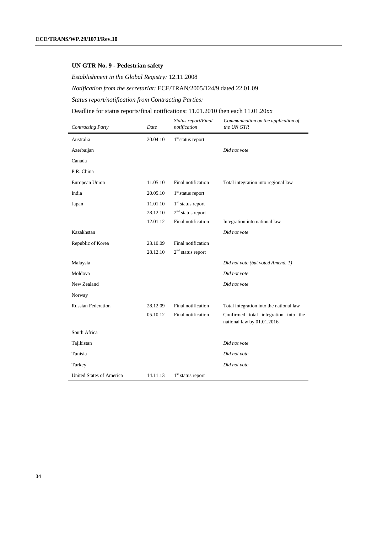#### **UN GTR No. 9 - Pedestrian safety**

*Establishment in the Global Registry:* 12.11.2008

# *Notification from the secretariat:* ECE/TRAN/2005/124/9 dated 22.01.09

*Status report/notification from Contracting Parties:*

# Deadline for status reports/final notifications: 11.01.2010 then each 11.01.20xx

| <b>Contracting Party</b>  | Date     | Status report/Final<br>notification | Communication on the application of<br>the UN GTR                   |
|---------------------------|----------|-------------------------------------|---------------------------------------------------------------------|
| Australia                 | 20.04.10 | $1st$ status report                 |                                                                     |
| Azerbaijan                |          |                                     | Did not vote                                                        |
| Canada                    |          |                                     |                                                                     |
| P.R. China                |          |                                     |                                                                     |
| European Union            | 11.05.10 | Final notification                  | Total integration into regional law                                 |
| India                     | 20.05.10 | $1st$ status report                 |                                                                     |
| Japan                     | 11.01.10 | $1st$ status report                 |                                                                     |
|                           | 28.12.10 | $2nd$ status report                 |                                                                     |
|                           | 12.01.12 | Final notification                  | Integration into national law                                       |
| Kazakhstan                |          |                                     | Did not vote                                                        |
| Republic of Korea         | 23.10.09 | Final notification                  |                                                                     |
|                           | 28.12.10 | $2nd$ status report                 |                                                                     |
| Malaysia                  |          |                                     | Did not vote (but voted Amend. 1)                                   |
| Moldova                   |          |                                     | Did not vote                                                        |
| New Zealand               |          |                                     | Did not vote                                                        |
| Norway                    |          |                                     |                                                                     |
| <b>Russian Federation</b> | 28.12.09 | Final notification                  | Total integration into the national law                             |
|                           | 05.10.12 | Final notification                  | Confirmed total integration into the<br>national law by 01.01.2016. |
| South Africa              |          |                                     |                                                                     |
| Tajikistan                |          |                                     | Did not vote                                                        |
| Tunisia                   |          |                                     | Did not vote                                                        |
| Turkey                    |          |                                     | Did not vote                                                        |
| United States of America  | 14.11.13 | $1st$ status report                 |                                                                     |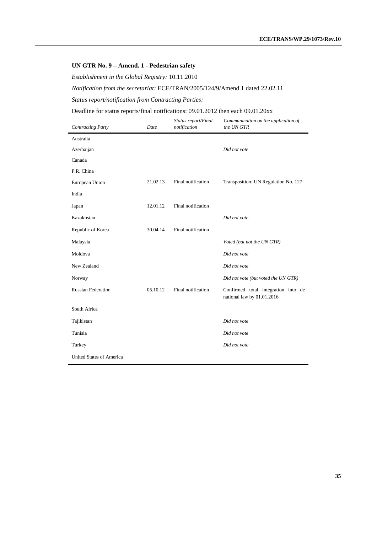#### **UN GTR No. 9 – Amend. 1 - Pedestrian safety**

*Establishment in the Global Registry:* 10.11.2010

*Notification from the secretariat:* ECE/TRAN/2005/124/9/Amend.1 dated 22.02.11

*Status report/notification from Contracting Parties:*

#### Deadline for status reports/final notifications: 09.01.2012 then each 09.01.20xx

| <b>Contracting Party</b>        | Date     | Status report/Final<br>notification | Communication on the application of<br>the UN GTR                 |
|---------------------------------|----------|-------------------------------------|-------------------------------------------------------------------|
| Australia                       |          |                                     |                                                                   |
| Azerbaijan                      |          |                                     | Did not vote                                                      |
| Canada                          |          |                                     |                                                                   |
| P.R. China                      |          |                                     |                                                                   |
| European Union                  | 21.02.13 | Final notification                  | Transposition: UN Regulation No. 127                              |
| India                           |          |                                     |                                                                   |
| Japan                           | 12.01.12 | Final notification                  |                                                                   |
| Kazakhstan                      |          |                                     | Did not vote                                                      |
| Republic of Korea               | 30.04.14 | Final notification                  |                                                                   |
| Malaysia                        |          |                                     | Voted (but not the UN GTR)                                        |
| Moldova                         |          |                                     | Did not vote                                                      |
| New Zealand                     |          |                                     | Did not vote                                                      |
| Norway                          |          |                                     | Did not vote (but voted the UN GTR)                               |
| <b>Russian Federation</b>       | 05.10.12 | Final notification                  | Confirmed total integration into de<br>national law by 01.01.2016 |
| South Africa                    |          |                                     |                                                                   |
| Tajikistan                      |          |                                     | Did not vote                                                      |
| Tunisia                         |          |                                     | Did not vote                                                      |
| Turkey                          |          |                                     | Did not vote                                                      |
| <b>United States of America</b> |          |                                     |                                                                   |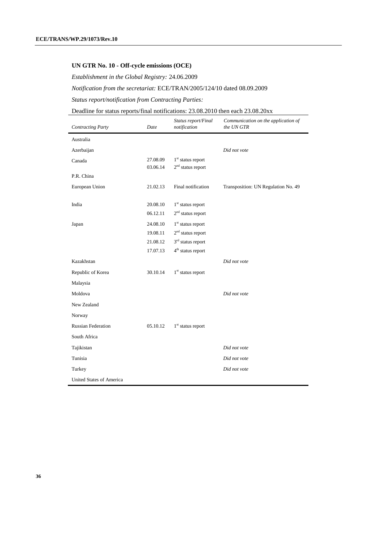#### **UN GTR No. 10 - Off-cycle emissions (OCE)**

*Establishment in the Global Registry:* 24.06.2009

# *Notification from the secretariat:* ECE/TRAN/2005/124/10 dated 08.09.2009

*Status report/notification from Contracting Parties:*

# Deadline for status reports/final notifications: 23.08.2010 then each 23.08.20xx

| <b>Contracting Party</b>        | Date     | Status report/Final<br>notification | Communication on the application of<br>the UN GTR |
|---------------------------------|----------|-------------------------------------|---------------------------------------------------|
| Australia                       |          |                                     |                                                   |
| Azerbaijan                      |          |                                     | Did not vote                                      |
| Canada                          | 27.08.09 | $1st$ status report                 |                                                   |
|                                 | 03.06.14 | $2nd$ status report                 |                                                   |
| P.R. China                      |          |                                     |                                                   |
| European Union                  | 21.02.13 | Final notification                  | Transposition: UN Regulation No. 49               |
| India                           | 20.08.10 | $1st$ status report                 |                                                   |
|                                 | 06.12.11 | $2nd$ status report                 |                                                   |
| Japan                           | 24.08.10 | $1st$ status report                 |                                                   |
|                                 | 19.08.11 | $2nd$ status report                 |                                                   |
|                                 | 21.08.12 | $3rd$ status report                 |                                                   |
|                                 | 17.07.13 | $4th$ status report                 |                                                   |
| Kazakhstan                      |          |                                     | Did not vote                                      |
| Republic of Korea               | 30.10.14 | $1st$ status report                 |                                                   |
| Malaysia                        |          |                                     |                                                   |
| Moldova                         |          |                                     | Did not vote                                      |
| New Zealand                     |          |                                     |                                                   |
| Norway                          |          |                                     |                                                   |
| <b>Russian Federation</b>       | 05.10.12 | $1st$ status report                 |                                                   |
| South Africa                    |          |                                     |                                                   |
| Tajikistan                      |          |                                     | Did not vote                                      |
| Tunisia                         |          |                                     | Did not vote                                      |
| Turkey                          |          |                                     | Did not vote                                      |
| <b>United States of America</b> |          |                                     |                                                   |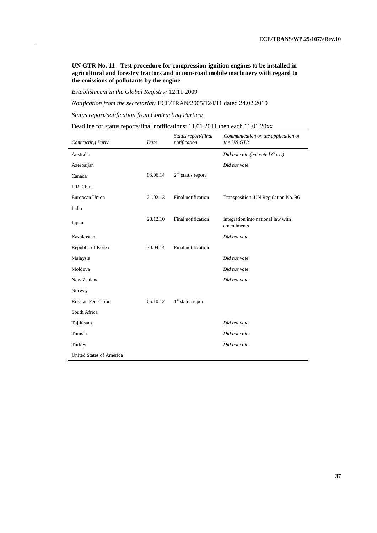**UN GTR No. 11 - Test procedure for compression-ignition engines to be installed in agricultural and forestry tractors and in non-road mobile machinery with regard to the emissions of pollutants by the engine**

*Establishment in the Global Registry:* 12.11.2009

*Notification from the secretariat:* ECE/TRAN/2005/124/11 dated 24.02.2010

*Status report/notification from Contracting Parties:*

Deadline for status reports/final notifications: 11.01.2011 then each 11.01.20xx

| <b>Contracting Party</b>  | Date     | Status report/Final<br>notification | Communication on the application of<br>the UN GTR |
|---------------------------|----------|-------------------------------------|---------------------------------------------------|
| Australia                 |          |                                     | Did not vote (but voted Corr.)                    |
| Azerbaijan                |          |                                     | Did not vote                                      |
| Canada                    | 03.06.14 | $2nd$ status report                 |                                                   |
| P.R. China                |          |                                     |                                                   |
| European Union            | 21.02.13 | Final notification                  | Transposition: UN Regulation No. 96               |
| India                     |          |                                     |                                                   |
| Japan                     | 28.12.10 | Final notification                  | Integration into national law with<br>amendments  |
| Kazakhstan                |          |                                     | Did not vote                                      |
| Republic of Korea         | 30.04.14 | Final notification                  |                                                   |
| Malaysia                  |          |                                     | Did not vote                                      |
| Moldova                   |          |                                     | Did not vote                                      |
| New Zealand               |          |                                     | Did not vote                                      |
| Norway                    |          |                                     |                                                   |
| <b>Russian Federation</b> | 05.10.12 | $1st$ status report                 |                                                   |
| South Africa              |          |                                     |                                                   |
| Tajikistan                |          |                                     | Did not vote                                      |
| Tunisia                   |          |                                     | Did not vote                                      |
| Turkey                    |          |                                     | Did not vote                                      |
| United States of America  |          |                                     |                                                   |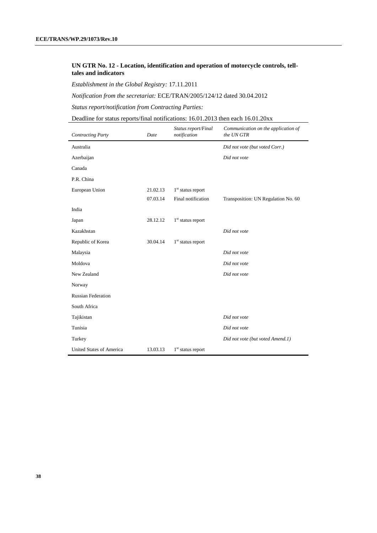#### **UN GTR No. 12 - Location, identification and operation of motorcycle controls, telltales and indicators**

*Establishment in the Global Registry:* 17.11.2011

*Notification from the secretariat:* ECE/TRAN/2005/124/12 dated 30.04.2012

*Status report/notification from Contracting Parties:*

Deadline for status reports/final notifications: 16.01.2013 then each 16.01.20xx

| <b>Contracting Party</b>        | Date     | Status report/Final<br>notification | Communication on the application of<br>the UN GTR |
|---------------------------------|----------|-------------------------------------|---------------------------------------------------|
| Australia                       |          |                                     | Did not vote (but voted Corr.)                    |
| Azerbaijan                      |          |                                     | Did not vote                                      |
| Canada                          |          |                                     |                                                   |
| P.R. China                      |          |                                     |                                                   |
| European Union                  | 21.02.13 | 1 <sup>st</sup> status report       |                                                   |
|                                 | 07.03.14 | Final notification                  | Transposition: UN Regulation No. 60               |
| India                           |          |                                     |                                                   |
| Japan                           | 28.12.12 | $1st$ status report                 |                                                   |
| Kazakhstan                      |          |                                     | Did not vote                                      |
| Republic of Korea               | 30.04.14 | $1st$ status report                 |                                                   |
| Malaysia                        |          |                                     | Did not vote                                      |
| Moldova                         |          |                                     | Did not vote                                      |
| New Zealand                     |          |                                     | Did not vote                                      |
| Norway                          |          |                                     |                                                   |
| <b>Russian Federation</b>       |          |                                     |                                                   |
| South Africa                    |          |                                     |                                                   |
| Tajikistan                      |          |                                     | Did not vote                                      |
| Tunisia                         |          |                                     | Did not vote                                      |
| Turkey                          |          |                                     | Did not vote (but voted Amend.1)                  |
| <b>United States of America</b> | 13.03.13 | $1st$ status report                 |                                                   |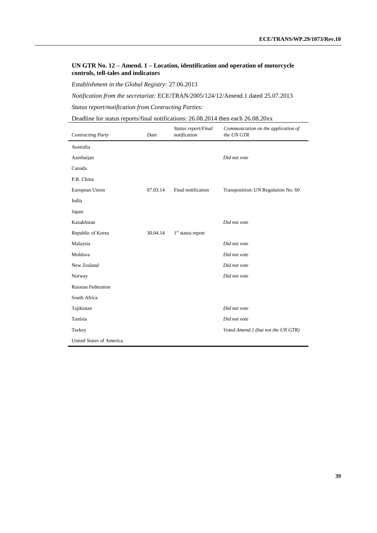#### **UN GTR No. 12 – Amend. 1 – Location, identification and operation of motorcycle controls, tell-tales and indicators**

*Establishment in the Global Registry:* 27.06.2013

*Notification from the secretariat:* ECE/TRAN/2005/124/12/Amend.1 dated 25.07.2013

*Status report/notification from Contracting Parties:*

Deadline for status reports/final notifications: 26.08.2014 then each 26.08.20xx

| <b>Contracting Party</b>  | Date     | Status report/Final<br>notification | Communication on the application of<br>the UN GTR |
|---------------------------|----------|-------------------------------------|---------------------------------------------------|
| Australia                 |          |                                     |                                                   |
| Azerbaijan                |          |                                     | Did not vote                                      |
| Canada                    |          |                                     |                                                   |
| P.R. China                |          |                                     |                                                   |
| European Union            | 07.03.14 | Final notification                  | Transposition: UN Regulation No. 60               |
| India                     |          |                                     |                                                   |
| Japan                     |          |                                     |                                                   |
| Kazakhstan                |          |                                     | Did not vote                                      |
| Republic of Korea         | 30.04.14 | $1st$ status report                 |                                                   |
| Malaysia                  |          |                                     | Did not vote                                      |
| Moldova                   |          |                                     | Did not vote                                      |
| New Zealand               |          |                                     | Did not vote                                      |
| Norway                    |          |                                     | Did not vote                                      |
| <b>Russian Federation</b> |          |                                     |                                                   |
| South Africa              |          |                                     |                                                   |
| Tajikistan                |          |                                     | Did not vote                                      |
| Tunisia                   |          |                                     | Did not vote                                      |
| Turkey                    |          |                                     | Voted Amend.1 (but not the UN GTR)                |
| United States of America  |          |                                     |                                                   |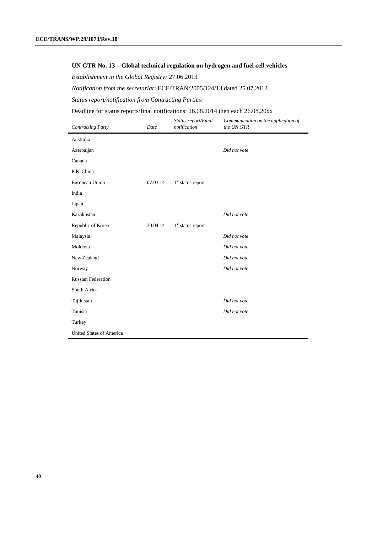#### **UN GTR No. 13 – Global technical regulation on hydrogen and fuel cell vehicles**

*Establishment in the Global Registry:* 27.06.2013

*Notification from the secretariat:* ECE/TRAN/2005/124/13 dated 25.07.2013

*Status report/notification from Contracting Parties:*

#### Deadline for status reports/final notifications: 26.08.2014 then each 26.08.20xx

| <b>Contracting Party</b>  | Date     | Status report/Final<br>notification | Communication on the application of<br>the UN GTR |
|---------------------------|----------|-------------------------------------|---------------------------------------------------|
| Australia                 |          |                                     |                                                   |
| Azerbaijan                |          |                                     | Did not vote                                      |
| Canada                    |          |                                     |                                                   |
| P.R. China                |          |                                     |                                                   |
| European Union            | 07.03.14 | $1st$ status report                 |                                                   |
| India                     |          |                                     |                                                   |
| Japan                     |          |                                     |                                                   |
| Kazakhstan                |          |                                     | Did not vote                                      |
| Republic of Korea         | 30.04.14 | $1st$ status report                 |                                                   |
| Malaysia                  |          |                                     | Did not vote                                      |
| Moldova                   |          |                                     | Did not vote                                      |
| New Zealand               |          |                                     | Did not vote                                      |
| Norway                    |          |                                     | Did not vote                                      |
| <b>Russian Federation</b> |          |                                     |                                                   |
| South Africa              |          |                                     |                                                   |
| Tajikistan                |          |                                     | Did not vote                                      |
| Tunisia                   |          |                                     | Did not vote                                      |
| Turkey                    |          |                                     |                                                   |
| United States of America  |          |                                     |                                                   |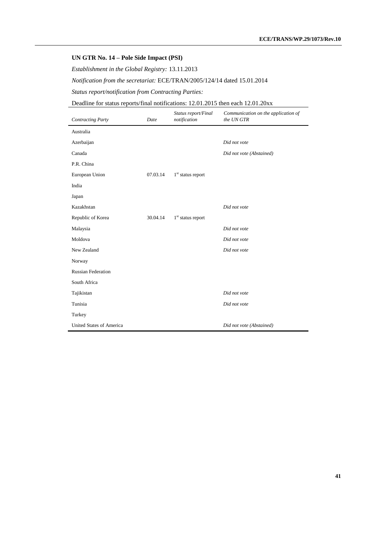# **UN GTR No. 14 – Pole Side Impact (PSI)**

*Establishment in the Global Registry:* 13.11.2013

*Notification from the secretariat:* ECE/TRAN/2005/124/14 dated 15.01.2014

*Status report/notification from Contracting Parties:*

# Deadline for status reports/final notifications: 12.01.2015 then each 12.01.20xx

| <b>Contracting Party</b>  | Date     | Status report/Final<br>notification | Communication on the application of<br>the UN GTR |
|---------------------------|----------|-------------------------------------|---------------------------------------------------|
| Australia                 |          |                                     |                                                   |
| Azerbaijan                |          |                                     | Did not vote                                      |
| Canada                    |          |                                     | Did not vote (Abstained)                          |
| P.R. China                |          |                                     |                                                   |
| European Union            | 07.03.14 | $1st$ status report                 |                                                   |
| India                     |          |                                     |                                                   |
| Japan                     |          |                                     |                                                   |
| Kazakhstan                |          |                                     | Did not vote                                      |
| Republic of Korea         | 30.04.14 | $1st$ status report                 |                                                   |
| Malaysia                  |          |                                     | Did not vote                                      |
| Moldova                   |          |                                     | Did not vote                                      |
| New Zealand               |          |                                     | Did not vote                                      |
| Norway                    |          |                                     |                                                   |
| <b>Russian Federation</b> |          |                                     |                                                   |
| South Africa              |          |                                     |                                                   |
| Tajikistan                |          |                                     | Did not vote                                      |
| Tunisia                   |          |                                     | Did not vote                                      |
| Turkey                    |          |                                     |                                                   |
| United States of America  |          |                                     | Did not vote (Abstained)                          |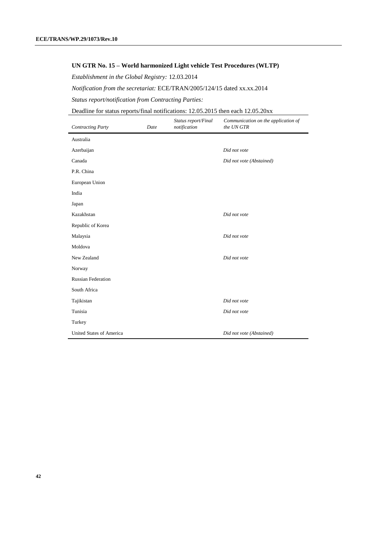#### **UN GTR No. 15 – World harmonized Light vehicle Test Procedures (WLTP)**

*Establishment in the Global Registry:* 12.03.2014

*Notification from the secretariat:* ECE/TRAN/2005/124/15 dated xx.xx.2014

*Status report/notification from Contracting Parties:*

Deadline for status reports/final notifications: 12.05.2015 then each 12.05.20xx

| <b>Contracting Party</b>  | Date | Status report/Final<br>notification | Communication on the application of<br>the UN GTR |
|---------------------------|------|-------------------------------------|---------------------------------------------------|
| Australia                 |      |                                     |                                                   |
| Azerbaijan                |      |                                     | Did not vote                                      |
| Canada                    |      |                                     | Did not vote (Abstained)                          |
| P.R. China                |      |                                     |                                                   |
| European Union            |      |                                     |                                                   |
| India                     |      |                                     |                                                   |
| Japan                     |      |                                     |                                                   |
| Kazakhstan                |      |                                     | Did not vote                                      |
| Republic of Korea         |      |                                     |                                                   |
| Malaysia                  |      |                                     | Did not vote                                      |
| Moldova                   |      |                                     |                                                   |
| New Zealand               |      |                                     | Did not vote                                      |
| Norway                    |      |                                     |                                                   |
| <b>Russian Federation</b> |      |                                     |                                                   |
| South Africa              |      |                                     |                                                   |
| Tajikistan                |      |                                     | Did not vote                                      |
| Tunisia                   |      |                                     | Did not vote                                      |
| Turkey                    |      |                                     |                                                   |
| United States of America  |      |                                     | Did not vote (Abstained)                          |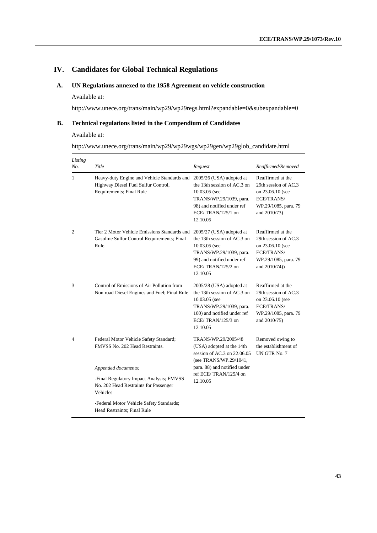# **IV. Candidates for Global Technical Regulations**

# **A. UN Regulations annexed to the 1958 Agreement on vehicle construction**

#### Available at:

http://www.unece.org/trans/main/wp29/wp29regs.html?expandable=0&subexpandable=0

#### **B. Technical regulations listed in the Compendium of Candidates**

Available at:

|  |  |  | http://www.unece.org/trans/main/wp29/wp29wgs/wp29gen/wp29glob_candidate.html |
|--|--|--|------------------------------------------------------------------------------|
|  |  |  |                                                                              |

| Listing<br>No. | Title                                                                                                          | Request                                                                                                                                                             | Reaffirmed/Removed                                                                                                   |
|----------------|----------------------------------------------------------------------------------------------------------------|---------------------------------------------------------------------------------------------------------------------------------------------------------------------|----------------------------------------------------------------------------------------------------------------------|
| 1              | Heavy-duty Engine and Vehicle Standards and<br>Highway Diesel Fuel Sulfur Control,<br>Requirements; Final Rule | 2005/26 (USA) adopted at<br>the 13th session of AC.3 on<br>10.03.05 (see<br>TRANS/WP.29/1039, para.<br>98) and notified under ref<br>ECE/TRAN/125/1 on<br>12.10.05  | Reaffirmed at the<br>29th session of AC.3<br>on 23.06.10 (see<br>ECE/TRANS/<br>WP.29/1085, para. 79<br>and 2010/73)  |
| 2              | Tier 2 Motor Vehicle Emissions Standards and<br>Gasoline Sulfur Control Requirements; Final<br>Rule.           | 2005/27 (USA) adopted at<br>the 13th session of AC.3 on<br>10.03.05 (see<br>TRANS/WP.29/1039, para.<br>99) and notified under ref<br>ECE/TRAN/125/2 on<br>12.10.05  | Reaffirmed at the<br>29th session of AC.3<br>on 23.06.10 (see<br>ECE/TRANS/<br>WP.29/1085, para. 79<br>and 2010/74)) |
| 3              | Control of Emissions of Air Pollution from<br>Non road Diesel Engines and Fuel; Final Rule                     | 2005/28 (USA) adopted at<br>the 13th session of AC.3 on<br>10.03.05 (see<br>TRANS/WP.29/1039, para.<br>100) and notified under ref<br>ECE/TRAN/125/3 on<br>12.10.05 | Reaffirmed at the<br>29th session of AC.3<br>on 23.06.10 (see<br>ECE/TRANS/<br>WP.29/1085, para. 79<br>and 2010/75)  |
| 4              | Federal Motor Vehicle Safety Standard;<br>FMVSS No. 202 Head Restraints.                                       | TRANS/WP.29/2005/48<br>(USA) adopted at the 14th<br>session of AC.3 on $22.06.05$<br>(see TRANS/WP.29/1041,                                                         | Removed owing to<br>the establishment of<br>UN GTR No. 7                                                             |
|                | Appended documents:                                                                                            | para. 88) and notified under                                                                                                                                        |                                                                                                                      |
|                | -Final Regulatory Impact Analysis; FMVSS<br>No. 202 Head Restraints for Passenger<br>Vehicles                  | ref ECE/TRAN/125/4 on<br>12.10.05                                                                                                                                   |                                                                                                                      |
|                | -Federal Motor Vehicle Safety Standards;<br>Head Restraints; Final Rule                                        |                                                                                                                                                                     |                                                                                                                      |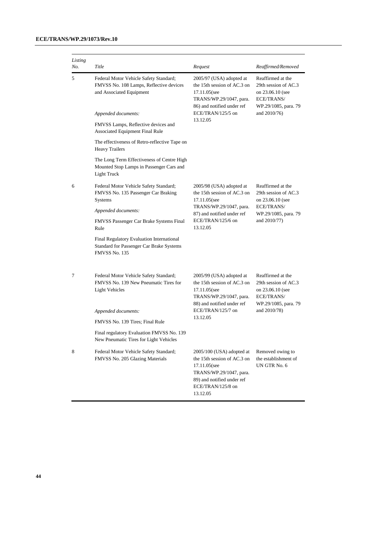| Listing<br>No. | Title                                                                                                         | Request                                                                                                                                                            | Reaffirmed/Removed                                                                                  |  |
|----------------|---------------------------------------------------------------------------------------------------------------|--------------------------------------------------------------------------------------------------------------------------------------------------------------------|-----------------------------------------------------------------------------------------------------|--|
| 5              | Federal Motor Vehicle Safety Standard;<br>FMVSS No. 108 Lamps, Reflective devices<br>and Associated Equipment | 2005/97 (USA) adopted at<br>the 15th session of AC.3 on<br>17.11.05(see<br>TRANS/WP.29/1047, para.<br>86) and notified under ref<br>ECE/TRAN/125/5 on              | Reaffirmed at the<br>29th session of AC.3<br>on 23.06.10 (see<br>ECE/TRANS/<br>WP.29/1085, para. 79 |  |
|                | Appended documents:                                                                                           |                                                                                                                                                                    | and $2010/76$ )                                                                                     |  |
|                | FMVSS Lamps, Reflective devices and<br>Associated Equipment Final Rule                                        | 13.12.05                                                                                                                                                           |                                                                                                     |  |
|                | The effectiveness of Retro-reflective Tape on<br><b>Heavy Trailers</b>                                        |                                                                                                                                                                    |                                                                                                     |  |
|                | The Long Term Effectiveness of Centre High<br>Mounted Stop Lamps in Passenger Cars and<br>Light Truck         |                                                                                                                                                                    |                                                                                                     |  |
| 6              | Federal Motor Vehicle Safety Standard;<br>FMVSS No. 135 Passenger Car Braking<br><b>Systems</b>               | 2005/98 (USA) adopted at<br>the 15th session of AC.3 on<br>17.11.05(see<br>TRANS/WP.29/1047, para.<br>87) and notified under ref<br>ECE/TRAN/125/6 on<br>13.12.05  | Reaffirmed at the<br>29th session of AC.3<br>on 23.06.10 (see                                       |  |
|                | Appended documents:                                                                                           |                                                                                                                                                                    | ECE/TRANS/<br>WP.29/1085, para. 79<br>and 2010/77)                                                  |  |
|                | FMVSS Passenger Car Brake Systems Final<br>Rule                                                               |                                                                                                                                                                    |                                                                                                     |  |
|                | Final Regulatory Evaluation International<br>Standard for Passenger Car Brake Systems<br>FMVSS No. 135        |                                                                                                                                                                    |                                                                                                     |  |
| 7              | Federal Motor Vehicle Safety Standard;<br>FMVSS No. 139 New Pneumatic Tires for<br><b>Light Vehicles</b>      | $2005/99$ (USA) adopted at<br>the 15th session of AC.3 on<br>17.11.05(see<br>TRANS/WP.29/1047, para.                                                               | Reaffirmed at the<br>29th session of AC.3<br>on 23.06.10 (see<br>ECE/TRANS/                         |  |
|                | Appended documents:                                                                                           | 88) and notified under ref<br>ECE/TRAN/125/7 on<br>13.12.05                                                                                                        | WP.29/1085, para. 79<br>and 2010/78)                                                                |  |
|                | FMVSS No. 139 Tires; Final Rule                                                                               |                                                                                                                                                                    |                                                                                                     |  |
|                | Final regulatory Evaluation FMVSS No. 139<br>New Pneumatic Tires for Light Vehicles                           |                                                                                                                                                                    |                                                                                                     |  |
| 8              | Federal Motor Vehicle Safety Standard;<br>FMVSS No. 205 Glazing Materials                                     | 2005/100 (USA) adopted at<br>the 15th session of AC.3 on<br>17.11.05(see<br>TRANS/WP.29/1047, para.<br>89) and notified under ref<br>ECE/TRAN/125/8 on<br>13.12.05 | Removed owing to<br>the establishment of<br>UN GTR No. 6                                            |  |

**44**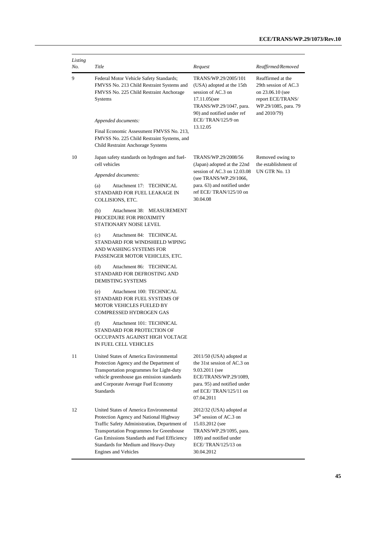| Listing<br>No. | Title                                                                                                                                                                                                                                                                                      | Request                                                                                                                                                                           | Reaffirmed/Removed                                                                                                         |
|----------------|--------------------------------------------------------------------------------------------------------------------------------------------------------------------------------------------------------------------------------------------------------------------------------------------|-----------------------------------------------------------------------------------------------------------------------------------------------------------------------------------|----------------------------------------------------------------------------------------------------------------------------|
| 9              | Federal Motor Vehicle Safety Standards;<br>FMVSS No. 213 Child Restraint Systems and<br>FMVSS No. 225 Child Restraint Anchorage<br>Systems                                                                                                                                                 | TRANS/WP.29/2005/101<br>(USA) adopted at the 15th<br>session of AC.3 on<br>17.11.05(see<br>TRANS/WP.29/1047, para.<br>90) and notified under ref                                  | Reaffirmed at the<br>29th session of AC.3<br>on 23.06.10 (see<br>report ECE/TRANS/<br>WP.29/1085, para. 79<br>and 2010/79) |
|                | Appended documents:                                                                                                                                                                                                                                                                        | ECE/TRAN/125/9 on<br>13.12.05                                                                                                                                                     |                                                                                                                            |
|                | Final Economic Assessment FMVSS No. 213,<br>FMVSS No. 225 Child Restraint Systems, and<br>Child Restraint Anchorage Systems                                                                                                                                                                |                                                                                                                                                                                   |                                                                                                                            |
| 10             | Japan safety standards on hydrogen and fuel-<br>cell vehicles                                                                                                                                                                                                                              | TRANS/WP.29/2008/56<br>(Japan) adopted at the 22nd<br>session of AC.3 on 12.03.08<br>(see TRANS/WP.29/1066,<br>para. 63) and notified under<br>ref ECE/TRAN/125/10 on<br>30.04.08 | Removed owing to<br>the establishment of<br>UN GTR No. 13                                                                  |
|                | Appended documents:                                                                                                                                                                                                                                                                        |                                                                                                                                                                                   |                                                                                                                            |
|                | Attachment 17: TECHNICAL<br>(a)<br>STANDARD FOR FUEL LEAKAGE IN<br>COLLISIONS, ETC.                                                                                                                                                                                                        |                                                                                                                                                                                   |                                                                                                                            |
|                | Attachment 38: MEASUREMENT<br>(b)<br>PROCEDURE FOR PROXIMITY<br>STATIONARY NOISE LEVEL                                                                                                                                                                                                     |                                                                                                                                                                                   |                                                                                                                            |
|                | Attachment 84: TECHNICAL<br>(c)<br>STANDARD FOR WINDSHIELD WIPING<br>AND WASHING SYSTEMS FOR<br>PASSENGER MOTOR VEHICLES, ETC.                                                                                                                                                             |                                                                                                                                                                                   |                                                                                                                            |
|                | (d)<br>Attachment 86: TECHNICAL<br>STANDARD FOR DEFROSTING AND<br>DEMISTING SYSTEMS                                                                                                                                                                                                        |                                                                                                                                                                                   |                                                                                                                            |
|                | Attachment 100: TECHNICAL<br>(e)<br>STANDARD FOR FUEL SYSTEMS OF<br><b>MOTOR VEHICLES FUELED BY</b><br><b>COMPRESSED HYDROGEN GAS</b>                                                                                                                                                      |                                                                                                                                                                                   |                                                                                                                            |
|                | (f)<br>Attachment 101: TECHNICAL<br>STANDARD FOR PROTECTION OF<br>OCCUPANTS AGAINST HIGH VOLTAGE<br>IN FUEL CELL VEHICLES                                                                                                                                                                  |                                                                                                                                                                                   |                                                                                                                            |
| 11             | United States of America Environmental<br>Protection Agency and the Department of<br>Transportation programmes for Light-duty<br>vehicle greenhouse gas emission standards<br>and Corporate Average Fuel Economy<br><b>Standards</b>                                                       | 2011/50 (USA) adopted at<br>the 31st session of AC.3 on<br>9.03.2011 (see<br>ECE/TRANS/WP.29/1089,<br>para. 95) and notified under<br>ref ECE/TRAN/125/11 on<br>07.04.2011        |                                                                                                                            |
| 12             | United States of America Environmental<br>Protection Agency and National Highway<br>Traffic Safety Administration, Department of<br>Transportation Programmes for Greenhouse<br>Gas Emissions Standards and Fuel Efficiency<br>Standards for Medium and Heavy-Duty<br>Engines and Vehicles | 2012/32 (USA) adopted at<br>$34th$ session of AC.3 on<br>15.03.2012 (see<br>TRANS/WP.29/1095, para.<br>109) and notified under<br>ECE/TRAN/125/13 on<br>30.04.2012                |                                                                                                                            |